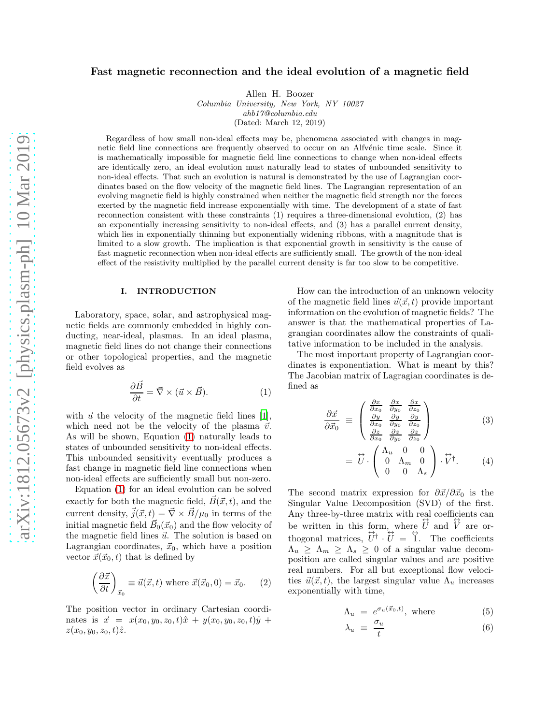# Fast magnetic reconnection and the ideal evolution of a magnetic field

Allen H. Boozer

Columbia University, New York, NY 10027 ahb17@columbia.edu (Dated: March 12, 2019)

Regardless of how small non-ideal effects may be, phenomena associated with changes in magnetic field line connections are frequently observed to occur on an Alfvénic time scale. Since it is mathematically impossible for magnetic field line connections to change when non-ideal effects are identically zero, an ideal evolution must naturally lead to states of unbounded sensitivity to non-ideal effects. That such an evolution is natural is demonstrated by the use of Lagrangian coordinates based on the flow velocity of the magnetic field lines. The Lagrangian representation of an evolving magnetic field is highly constrained when neither the magnetic field strength nor the forces exerted by the magnetic field increase exponentially with time. The development of a state of fast reconnection consistent with these constraints (1) requires a three-dimensional evolution, (2) has an exponentially increasing sensitivity to non-ideal effects, and (3) has a parallel current density, which lies in exponentially thinning but exponentially widening ribbons, with a magnitude that is limited to a slow growth. The implication is that exponential growth in sensitivity is the cause of fast magnetic reconnection when non-ideal effects are sufficiently small. The growth of the non-ideal effect of the resistivity multiplied by the parallel current density is far too slow to be competitive.

## I. INTRODUCTION

Laboratory, space, solar, and astrophysical magnetic fields are commonly embedded in highly conducting, near-ideal, plasmas. In an ideal plasma, magnetic field lines do not change their connections or other topological properties, and the magnetic field evolves as

<span id="page-0-0"></span>
$$
\frac{\partial \vec{B}}{\partial t} = \vec{\nabla} \times (\vec{u} \times \vec{B}). \tag{1}
$$

with  $\vec{u}$  the velocity of the magnetic field lines [\[1\]](#page-14-0), which need not be the velocity of the plasma  $\vec{v}$ . As will be shown, Equation [\(1\)](#page-0-0) naturally leads to states of unbounded sensitivity to non-ideal effects. This unbounded sensitivity eventually produces a fast change in magnetic field line connections when non-ideal effects are sufficiently small but non-zero.

Equation [\(1\)](#page-0-0) for an ideal evolution can be solved exactly for both the magnetic field,  $\vec{B}(\vec{x}, t)$ , and the current density,  $\vec{j}(\vec{x},t) = \vec{\nabla} \times \vec{B}/\mu_0$  in terms of the initial magnetic field  $\vec{B}_0(\vec{x}_0)$  and the flow velocity of the magnetic field lines  $\vec{u}$ . The solution is based on Lagrangian coordinates,  $\vec{x}_0$ , which have a position vector  $\vec{x}(\vec{x}_0, t)$  that is defined by

<span id="page-0-1"></span>
$$
\left(\frac{\partial \vec{x}}{\partial t}\right)_{\vec{x}_0} \equiv \vec{u}(\vec{x}, t) \text{ where } \vec{x}(\vec{x}_0, 0) = \vec{x}_0. \quad (2)
$$

The position vector in ordinary Cartesian coordinates is  $\vec{x} = x(x_0, y_0, z_0, t)\hat{x} + y(x_0, y_0, z_0, t)\hat{y}$  $z(x_0, y_0, z_0, t)\hat{z}.$ 

How can the introduction of an unknown velocity of the magnetic field lines  $\vec{u}(\vec{x}, t)$  provide important information on the evolution of magnetic fields? The answer is that the mathematical properties of Lagrangian coordinates allow the constraints of qualitative information to be included in the analysis.

The most important property of Lagrangian coordinates is exponentiation. What is meant by this? The Jacobian matrix of Lagragian coordinates is defined as

<span id="page-0-2"></span>
$$
\frac{\partial \vec{x}}{\partial \vec{x}_0} \equiv \begin{pmatrix} \frac{\partial x}{\partial x_0} & \frac{\partial x}{\partial y_0} & \frac{\partial x}{\partial z_0} \\ \frac{\partial y}{\partial x_0} & \frac{\partial y}{\partial y_0} & \frac{\partial y}{\partial z_0} \\ \frac{\partial z}{\partial x_0} & \frac{\partial z}{\partial y_0} & \frac{\partial z}{\partial z_0} \end{pmatrix}
$$
(3)

$$
= \overleftrightarrow{U} \cdot \begin{pmatrix} \Lambda_u & 0 & 0 \\ 0 & \Lambda_m & 0 \\ 0 & 0 & \Lambda_s \end{pmatrix} \cdot \overleftrightarrow{V}^{\dagger}.
$$
 (4)

The second matrix expression for  $\partial \vec{x}/\partial \vec{x}_0$  is the Singular Value Decomposition (SVD) of the first. Any three-by-three matrix with real coefficients can be written in this form, where  $\hat{U}$  and  $\hat{V}$  are orthogonal matrices,  $\hat{U}^{\dagger} \cdot \hat{U} = \hat{1}$ . The coefficients  $\Lambda_u \geq \Lambda_m \geq \Lambda_s \geq 0$  of a singular value decomposition are called singular values and are positive real numbers. For all but exceptional flow velocities  $\vec{u}(\vec{x}, t)$ , the largest singular value  $\Lambda_u$  increases exponentially with time,

$$
\Lambda_u = e^{\sigma_u(\vec{x}_0, t)}, \text{ where } (5)
$$

$$
\lambda_u \equiv \frac{\sigma_u}{t} \tag{6}
$$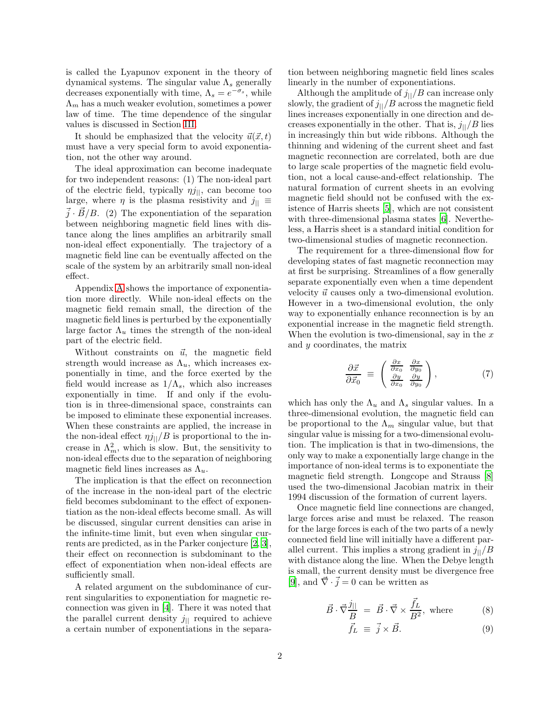is called the Lyapunov exponent in the theory of dynamical systems. The singular value  $\Lambda_s$  generally decreases exponentially with time,  $\Lambda_s = e^{-\sigma_s}$ , while  $\Lambda_m$  has a much weaker evolution, sometimes a power law of time. The time dependence of the singular values is discussed in Section [III.](#page-4-0)

It should be emphasized that the velocity  $\vec{u}(\vec{x}, t)$ must have a very special form to avoid exponentiation, not the other way around.

The ideal approximation can become inadequate for two independent reasons: (1) The non-ideal part of the electric field, typically  $\eta j_{\parallel}$ , can become too large, where  $\eta$  is the plasma resistivity and  $j_{\parallel} \equiv$  $\vec{j} \cdot \vec{B}/B$ . (2) The exponentiation of the separation between neighboring magnetic field lines with distance along the lines amplifies an arbitrarily small non-ideal effect exponentially. The trajectory of a magnetic field line can be eventually affected on the scale of the system by an arbitrarily small non-ideal effect.

Appendix [A](#page-12-0) shows the importance of exponentiation more directly. While non-ideal effects on the magnetic field remain small, the direction of the magnetic field lines is perturbed by the exponentially large factor  $\Lambda_u$  times the strength of the non-ideal part of the electric field.

Without constraints on  $\vec{u}$ , the magnetic field strength would increase as  $\Lambda_u$ , which increases exponentially in time, and the force exerted by the field would increase as  $1/\Lambda_s$ , which also increases exponentially in time. If and only if the evolution is in three-dimensional space, constraints can be imposed to eliminate these exponential increases. When these constraints are applied, the increase in the non-ideal effect  $\eta j_{\parallel}/B$  is proportional to the increase in  $\Lambda_m^2$ , which is slow. But, the sensitivity to non-ideal effects due to the separation of neighboring magnetic field lines increases as  $\Lambda_u$ .

The implication is that the effect on reconnection of the increase in the non-ideal part of the electric field becomes subdominant to the effect of exponentiation as the non-ideal effects become small. As will be discussed, singular current densities can arise in the infinite-time limit, but even when singular currents are predicted, as in the Parker conjecture [\[2](#page-14-1), [3\]](#page-14-2), their effect on reconnection is subdominant to the effect of exponentiation when non-ideal effects are sufficiently small.

A related argument on the subdominance of current singularities to exponentiation for magnetic reconnection was given in [\[4\]](#page-14-3). There it was noted that the parallel current density  $j_{\parallel}$  required to achieve a certain number of exponentiations in the separation between neighboring magnetic field lines scales linearly in the number of exponentiations.

Although the amplitude of  $j_{||}/B$  can increase only slowly, the gradient of  $j_{\parallel}/B$  across the magnetic field lines increases exponentially in one direction and decreases exponentially in the other. That is,  $j_{||}/B$  lies in increasingly thin but wide ribbons. Although the thinning and widening of the current sheet and fast magnetic reconnection are correlated, both are due to large scale properties of the magnetic field evolution, not a local cause-and-effect relationship. The natural formation of current sheets in an evolving magnetic field should not be confused with the existence of Harris sheets [\[5\]](#page-14-4), which are not consistent with three-dimensional plasma states [6]. Nevertheless, a Harris sheet is a standard initial condition for two-dimensional studies of magnetic reconnection.

The requirement for a three-dimensional flow for developing states of fast magnetic reconnection may at first be surprising. Streamlines of a flow generally separate exponentially even when a time dependent velocity  $\vec{u}$  causes only a two-dimensional evolution. However in a two-dimensional evolution, the only way to exponentially enhance reconnection is by an exponential increase in the magnetic field strength. When the evolution is two-dimensional, say in the  $x$ and y coordinates, the matrix

$$
\frac{\partial \vec{x}}{\partial \vec{x}_0} \equiv \begin{pmatrix} \frac{\partial x}{\partial x_0} & \frac{\partial x}{\partial y_0} \\ \frac{\partial y}{\partial x_0} & \frac{\partial y}{\partial y_0} \end{pmatrix}, \tag{7}
$$

which has only the  $\Lambda_u$  and  $\Lambda_s$  singular values. In a three-dimensional evolution, the magnetic field can be proportional to the  $\Lambda_m$  singular value, but that singular value is missing for a two-dimensional evolution. The implication is that in two-dimensions, the only way to make a exponentially large change in the importance of non-ideal terms is to exponentiate the magnetic field strength. Longcope and Strauss [\[8](#page-15-0)] used the two-dimensional Jacobian matrix in their 1994 discussion of the formation of current layers.

Once magnetic field line connections are changed, large forces arise and must be relaxed. The reason for the large forces is each of the two parts of a newly connected field line will initially have a different parallel current. This implies a strong gradient in  $j_{\parallel}/B$ with distance along the line. When the Debye length is small, the current density must be divergence free [\[9\]](#page-15-1), and  $\vec{\nabla} \cdot \vec{i} = 0$  can be written as

$$
\vec{B} \cdot \vec{\nabla} \frac{\dot{\mathcal{I}}_{||}}{B} = \vec{B} \cdot \vec{\nabla} \times \frac{\vec{f}_L}{B^2}, \text{ where } (8)
$$

$$
\vec{f}_L \equiv \vec{j} \times \vec{B}.\tag{9}
$$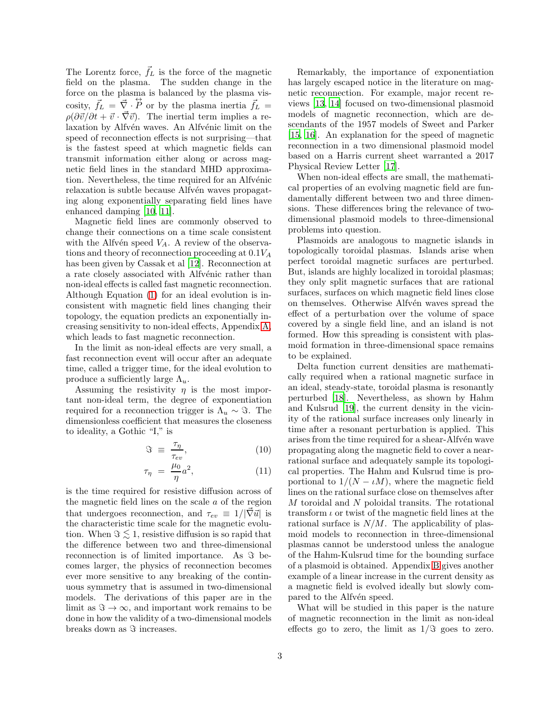The Lorentz force,  $f_L$  is the force of the magnetic field on the plasma. The sudden change in the force on the plasma is balanced by the plasma viscosity,  $\vec{f}_L = \vec{\nabla} \cdot \vec{P}$  or by the plasma inertia  $\vec{f}_L =$  $\rho(\partial \vec{v}/\partial t + \vec{v} \cdot \vec{\nabla} \vec{v})$ . The inertial term implies a relaxation by Alfvén waves. An Alfvénic limit on the speed of reconnection effects is not surprising—that is the fastest speed at which magnetic fields can transmit information either along or across magnetic field lines in the standard MHD approximation. Nevertheless, the time required for an Alfvénic relaxation is subtle because Alfvén waves propagating along exponentially separating field lines have enhanced damping [\[10,](#page-15-2) [11\]](#page-15-3).

Magnetic field lines are commonly observed to change their connections on a time scale consistent with the Alfvén speed  $V_A$ . A review of the observations and theory of reconnection proceeding at  $0.1V_A$ has been given by Cassak et al [\[12\]](#page-15-4). Reconnection at a rate closely associated with Alfvénic rather than non-ideal effects is called fast magnetic reconnection. Although Equation [\(1\)](#page-0-0) for an ideal evolution is inconsistent with magnetic field lines changing their topology, the equation predicts an exponentially increasing sensitivity to non-ideal effects, Appendix [A,](#page-12-0) which leads to fast magnetic reconnection.

In the limit as non-ideal effects are very small, a fast reconnection event will occur after an adequate time, called a trigger time, for the ideal evolution to produce a sufficiently large  $\Lambda_u$ .

Assuming the resistivity  $\eta$  is the most important non-ideal term, the degree of exponentiation required for a reconnection trigger is  $\Lambda_u \sim \Im$ . The dimensionless coefficient that measures the closeness to ideality, a Gothic "I," is

$$
\mathfrak{F} \equiv \frac{\tau_{\eta}}{\tau_{ev}},\tag{10}
$$

$$
\tau_{\eta} = \frac{\mu_0}{\eta} a^2, \qquad (11)
$$

is the time required for resistive diffusion across of the magnetic field lines on the scale  $a$  of the region that undergoes reconnection, and  $\tau_{ev} \equiv 1/|\vec{\nabla} \vec{u}|$  is the characteristic time scale for the magnetic evolution. When  $\Im \lesssim 1$ , resistive diffusion is so rapid that the difference between two and three-dimensional reconnection is of limited importance. As  $\Im$  becomes larger, the physics of reconnection becomes ever more sensitive to any breaking of the continuous symmetry that is assumed in two-dimensional models. The derivations of this paper are in the limit as  $\Im \to \infty$ , and important work remains to be done in how the validity of a two-dimensional models breaks down as  $\Im$  increases.

Remarkably, the importance of exponentiation has largely escaped notice in the literature on magnetic reconnection. For example, major recent reviews [\[13,](#page-15-5) [14](#page-15-6)] focused on two-dimensional plasmoid models of magnetic reconnection, which are descendants of the 1957 models of Sweet and Parker [\[15,](#page-15-7) [16](#page-15-8)]. An explanation for the speed of magnetic reconnection in a two dimensional plasmoid model based on a Harris current sheet warranted a 2017 Physical Review Letter [\[17\]](#page-15-9).

When non-ideal effects are small, the mathematical properties of an evolving magnetic field are fundamentally different between two and three dimensions. These differences bring the relevance of twodimensional plasmoid models to three-dimensional problems into question.

Plasmoids are analogous to magnetic islands in topologically toroidal plasmas. Islands arise when perfect toroidal magnetic surfaces are perturbed. But, islands are highly localized in toroidal plasmas; they only split magnetic surfaces that are rational surfaces, surfaces on which magnetic field lines close on themselves. Otherwise Alfven waves spread the effect of a perturbation over the volume of space covered by a single field line, and an island is not formed. How this spreading is consistent with plasmoid formation in three-dimensional space remains to be explained.

Delta function current densities are mathematically required when a rational magnetic surface in an ideal, steady-state, toroidal plasma is resonantly perturbed [\[18\]](#page-15-10). Nevertheless, as shown by Hahm and Kulsrud [\[19\]](#page-15-11), the current density in the vicinity of the rational surface increases only linearly in time after a resonant perturbation is applied. This arises from the time required for a shear-Alfvén wave propagating along the magnetic field to cover a nearrational surface and adequately sample its topological properties. The Hahm and Kulsrud time is proportional to  $1/(N - \iota M)$ , where the magnetic field lines on the rational surface close on themselves after  $M$  toroidal and  $N$  poloidal transits. The rotational transform  $\iota$  or twist of the magnetic field lines at the rational surface is  $N/M$ . The applicability of plasmoid models to reconnection in three-dimensional plasmas cannot be understood unless the analogue of the Hahm-Kulsrud time for the bounding surface of a plasmoid is obtained. Appendix [B](#page-14-5) gives another example of a linear increase in the current density as a magnetic field is evolved ideally but slowly compared to the Alfven speed.

What will be studied in this paper is the nature of magnetic reconnection in the limit as non-ideal effects go to zero, the limit as  $1/\Im$  goes to zero.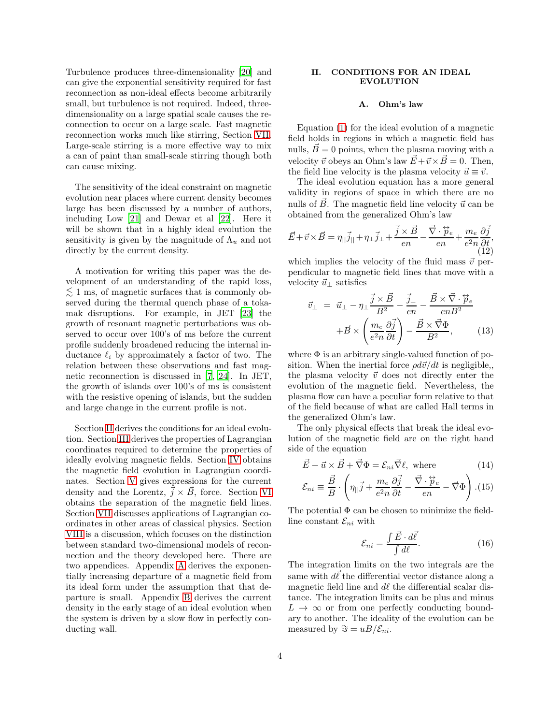Turbulence produces three-dimensionality [20] and can give the exponential sensitivity required for fast reconnection as non-ideal effects become arbitrarily small, but turbulence is not required. Indeed, threedimensionality on a large spatial scale causes the reconnection to occur on a large scale. Fast magnetic reconnection works much like stirring, Section [VII.](#page-10-0) Large-scale stirring is a more effective way to mix a can of paint than small-scale stirring though both can cause mixing.

The sensitivity of the ideal constraint on magnetic evolution near places where current density becomes large has been discussed by a number of authors, including Low [\[21](#page-15-12)] and Dewar et al [\[22](#page-15-13)]. Here it will be shown that in a highly ideal evolution the sensitivity is given by the magnitude of  $\Lambda_u$  and not directly by the current density.

A motivation for writing this paper was the development of an understanding of the rapid loss,  $\lesssim 1$  ms, of magnetic surfaces that is commonly observed during the thermal quench phase of a tokamak disruptions. For example, in JET [23] the growth of resonant magnetic perturbations was observed to occur over 100's of ms before the current profile suddenly broadened reducing the internal inductance  $\ell_i$  by approximately a factor of two. The relation between these observations and fast magnetic reconnection is discussed in [\[7,](#page-15-14) [24\]](#page-15-15). In JET, the growth of islands over 100's of ms is consistent with the resistive opening of islands, but the sudden and large change in the current profile is not.

Section [II](#page-3-0) derives the conditions for an ideal evolution. Section [III](#page-4-0) derives the properties of Lagrangian coordinates required to determine the properties of ideally evolving magnetic fields. Section [IV](#page-7-0) obtains the magnetic field evolution in Lagrangian coordinates. Section [V](#page-7-1) gives expressions for the current density and the Lorentz,  $\vec{j} \times \vec{B}$ , force. Section [VI](#page-9-0) obtains the separation of the magnetic field lines. Section [VII](#page-10-0) discusses applications of Lagrangian coordinates in other areas of classical physics. Section [VIII](#page-11-0) is a discussion, which focuses on the distinction between standard two-dimensional models of reconnection and the theory developed here. There are two appendices. Appendix [A](#page-12-0) derives the exponentially increasing departure of a magnetic field from its ideal form under the assumption that that departure is small. Appendix [B](#page-14-5) derives the current density in the early stage of an ideal evolution when the system is driven by a slow flow in perfectly conducting wall.

# <span id="page-3-0"></span>II. CONDITIONS FOR AN IDEAL EVOLUTION

# A. Ohm's law

Equation [\(1\)](#page-0-0) for the ideal evolution of a magnetic field holds in regions in which a magnetic field has nulls,  $\vec{B}=0$  points, when the plasma moving with a velocity  $\vec{v}$  obeys an Ohm's law  $\vec{E} + \vec{v} \times \vec{B} = 0$ . Then, the field line velocity is the plasma velocity  $\vec{u} \equiv \vec{v}$ .

The ideal evolution equation has a more general validity in regions of space in which there are no nulls of  $\vec{B}$ . The magnetic field line velocity  $\vec{u}$  can be obtained from the generalized Ohm's law

$$
\vec{E} + \vec{v} \times \vec{B} = \eta_{||}\vec{j}_{||} + \eta_{\perp}\vec{j}_{\perp} + \frac{\vec{j} \times \vec{B}}{en} - \frac{\vec{\nabla} \cdot \vec{p}_e}{en} + \frac{m_e}{e^2 n} \frac{\partial \vec{j}}{\partial t},
$$
\n(12)

which implies the velocity of the fluid mass  $\vec{v}$  perpendicular to magnetic field lines that move with a velocity  $\vec{u}_\perp$  satisfies

$$
\vec{v}_{\perp} = \vec{u}_{\perp} - \eta_{\perp} \frac{\vec{j} \times \vec{B}}{B^2} - \frac{\vec{j}_{\perp}}{en} - \frac{\vec{B} \times \vec{\nabla} \cdot \vec{p}_{e}}{enB^2} + \vec{B} \times \left(\frac{m_e}{e^2 n} \frac{\partial \vec{j}}{\partial t}\right) - \frac{\vec{B} \times \vec{\nabla} \Phi}{B^2}, \quad (13)
$$

where  $\Phi$  is an arbitrary single-valued function of position. When the inertial force  $\rho d\vec{v}/dt$  is negligible, the plasma velocity  $\vec{v}$  does not directly enter the evolution of the magnetic field. Nevertheless, the plasma flow can have a peculiar form relative to that of the field because of what are called Hall terms in the generalized Ohm's law.

The only physical effects that break the ideal evolution of the magnetic field are on the right hand side of the equation

<span id="page-3-1"></span>
$$
\vec{E} + \vec{u} \times \vec{B} + \vec{\nabla}\Phi = \mathcal{E}_{ni}\vec{\nabla}\ell, \text{ where } (14)
$$

$$
\mathcal{E}_{ni} \equiv \frac{\vec{B}}{B} \cdot \left( \eta_{\parallel} \vec{j} + \frac{m_e}{e^2 n} \frac{\partial \vec{j}}{\partial t} - \frac{\vec{\nabla} \cdot \dot{\vec{p}}_e}{en} - \vec{\nabla} \Phi \right). (15)
$$

The potential  $\Phi$  can be chosen to minimize the fieldline constant  $\mathcal{E}_{ni}$  with

$$
\mathcal{E}_{ni} = \frac{\int \vec{E} \cdot d\vec{\ell}}{\int d\ell}.
$$
\n(16)

The integration limits on the two integrals are the same with  $d\vec{\ell}$  the differential vector distance along a magnetic field line and  $d\ell$  the differential scalar distance. The integration limits can be plus and minus  $L \rightarrow \infty$  or from one perfectly conducting boundary to another. The ideality of the evolution can be measured by  $\Im = uB/\mathcal{E}_{ni}$ .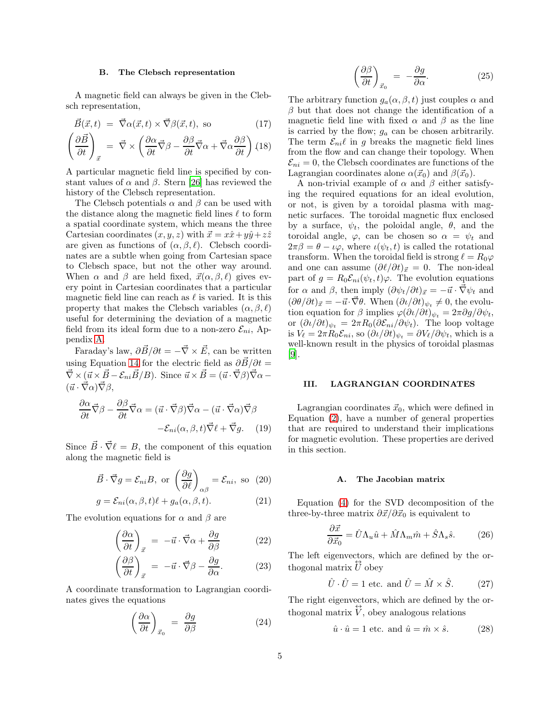### <span id="page-4-2"></span>B. The Clebsch representation

A magnetic field can always be given in the Clebsch representation,

$$
\vec{B}(\vec{x},t) = \vec{\nabla}\alpha(\vec{x},t) \times \vec{\nabla}\beta(\vec{x},t), \text{ so } (17)
$$

$$
\left(\frac{\partial \vec{B}}{\partial t}\right)_{\vec{x}} = \vec{\nabla} \times \left(\frac{\partial \alpha}{\partial t} \vec{\nabla} \beta - \frac{\partial \beta}{\partial t} \vec{\nabla} \alpha + \vec{\nabla} \alpha \frac{\partial \beta}{\partial t}\right) (18)
$$

A particular magnetic field line is specified by constant values of  $\alpha$  and  $\beta$ . Stern [\[26\]](#page-15-16) has reviewed the history of the Clebsch representation.

The Clebsch potentials  $\alpha$  and  $\beta$  can be used with the distance along the magnetic field lines  $\ell$  to form a spatial coordinate system, which means the three Cartesian coordinates  $(x, y, z)$  with  $\vec{x} = x\hat{x} + y\hat{y} + z\hat{z}$ are given as functions of  $(\alpha, \beta, \ell)$ . Clebsch coordinates are a subtle when going from Cartesian space to Clebsch space, but not the other way around. When  $\alpha$  and  $\beta$  are held fixed,  $\vec{x}(\alpha, \beta, \ell)$  gives every point in Cartesian coordinates that a particular magnetic field line can reach as  $\ell$  is varied. It is this property that makes the Clebsch variables  $(\alpha, \beta, \ell)$ useful for determining the deviation of a magnetic field from its ideal form due to a non-zero  $\mathcal{E}_{ni}$ , Appendix [A.](#page-12-0)

Faraday's law,  $\partial \vec{B}/\partial t = -\vec{\nabla} \times \vec{E}$ , can be written using Equation [14](#page-3-1) for the electric field as  $\partial \vec{B}/\partial t =$  $\vec{\nabla} \times (\vec{u} \times \vec{B} - \mathcal{E}_{ni} \vec{B}/B)$ . Since  $\vec{u} \times \vec{B} = (\vec{u} \cdot \vec{\nabla} \beta) \vec{\nabla} \alpha - \vec{v} \cdot \vec{\nabla} \beta$  $(\vec{u} \cdot \vec{\nabla}\alpha) \vec{\nabla}\beta,$ 

$$
\frac{\partial \alpha}{\partial t} \vec{\nabla} \beta - \frac{\partial \beta}{\partial t} \vec{\nabla} \alpha = (\vec{u} \cdot \vec{\nabla} \beta) \vec{\nabla} \alpha - (\vec{u} \cdot \vec{\nabla} \alpha) \vec{\nabla} \beta \n- \mathcal{E}_{ni} (\alpha, \beta, t) \vec{\nabla} \ell + \vec{\nabla} g.
$$
 (19)

Since  $\vec{B} \cdot \vec{\nabla}\ell = B$ , the component of this equation along the magnetic field is

$$
\vec{B} \cdot \vec{\nabla} g = \mathcal{E}_{ni} B
$$
, or  $\left(\frac{\partial g}{\partial \ell}\right)_{\alpha\beta} = \mathcal{E}_{ni}$ , so (20)

$$
g = \mathcal{E}_{ni}(\alpha, \beta, t)\ell + g_a(\alpha, \beta, t). \tag{21}
$$

The evolution equations for  $\alpha$  and  $\beta$  are

$$
\left(\frac{\partial \alpha}{\partial t}\right)_{\vec{x}} = -\vec{u} \cdot \vec{\nabla}\alpha + \frac{\partial g}{\partial \beta} \tag{22}
$$

$$
\left(\frac{\partial \beta}{\partial t}\right)_{\vec{x}} = -\vec{u} \cdot \vec{\nabla} \beta - \frac{\partial g}{\partial \alpha}.
$$
 (23)

A coordinate transformation to Lagrangian coordinates gives the equations

$$
\left(\frac{\partial \alpha}{\partial t}\right)_{\vec{x}_0} = \frac{\partial g}{\partial \beta} \tag{24}
$$

$$
\left(\frac{\partial\beta}{\partial t}\right)_{\vec{x}_0} = -\frac{\partial g}{\partial\alpha}.
$$
 (25)

The arbitrary function  $g_a(\alpha, \beta, t)$  just couples  $\alpha$  and  $\beta$  but that does not change the identification of a magnetic field line with fixed  $\alpha$  and  $\beta$  as the line is carried by the flow;  $g_a$  can be chosen arbitrarily. The term  $\mathcal{E}_{ni}\ell$  in g breaks the magnetic field lines from the flow and can change their topology. When  $\mathcal{E}_{ni} = 0$ , the Clebsch coordinates are functions of the Lagrangian coordinates alone  $\alpha(\vec{x}_0)$  and  $\beta(\vec{x}_0)$ .

A non-trivial example of  $\alpha$  and  $\beta$  either satisfying the required equations for an ideal evolution, or not, is given by a toroidal plasma with magnetic surfaces. The toroidal magnetic flux enclosed by a surface,  $\psi_t$ , the poloidal angle,  $\theta$ , and the toroidal angle,  $\varphi$ , can be chosen so  $\alpha = \psi_t$  and  $2\pi\beta = \theta - \iota\varphi$ , where  $\iota(\psi_t, t)$  is called the rotational transform. When the toroidal field is strong  $\ell = R_0\varphi$ and one can assume  $(\partial \ell / \partial t)_{\vec{x}} = 0$ . The non-ideal part of  $g = R_0 \mathcal{E}_{ni}(\psi_t, t) \varphi$ . The evolution equations for  $\alpha$  and  $\beta$ , then imply  $(\partial \psi_t / \partial t)_{\vec{x}} = -\vec{u} \cdot \vec{\nabla} \psi_t$  and  $(\partial \theta/\partial t)_{\vec{x}} = -\vec{u} \cdot \vec{\nabla} \theta$ . When  $(\partial \iota/\partial t)_{\psi_t} \neq 0$ , the evolution equation for β implies  $\varphi(\partial \iota/\partial t)_{\psi_t} = 2\pi \partial g/\partial \psi_t$ , or  $(\partial \iota/\partial t)_{\psi_t} = 2\pi R_0(\partial \mathcal{E}_{ni}/\partial \psi_t)$ . The loop voltage is  $V_{\ell} = 2\pi R_0 \mathcal{E}_{ni}$ , so  $(\partial \iota/\partial t)_{\psi_t} = \partial V_{\ell}/\partial \psi_t$ , which is a well-known result in the physics of toroidal plasmas [\[9\]](#page-15-1).

# <span id="page-4-0"></span>III. LAGRANGIAN COORDINATES

Lagrangian coordinates  $\vec{x}_0$ , which were defined in Equation [\(2\)](#page-0-1), have a number of general properties that are required to understand their implications for magnetic evolution. These properties are derived in this section.

#### A. The Jacobian matrix

Equation [\(4\)](#page-0-2) for the SVD decomposition of the three-by-three matrix  $\partial \vec{x}/\partial \vec{x}_0$  is equivalent to

<span id="page-4-1"></span>
$$
\frac{\partial \vec{x}}{\partial \vec{x}_0} = \hat{U} \Lambda_u \hat{u} + \hat{M} \Lambda_m \hat{m} + \hat{S} \Lambda_s \hat{s}.
$$
 (26)

The left eigenvectors, which are defined by the orthogonal matrix  $\overleftrightarrow{U}$  obey

$$
\hat{U} \cdot \hat{U} = 1 \text{ etc. and } \hat{U} = \hat{M} \times \hat{S}. \tag{27}
$$

The right eigenvectors, which are defined by the orthogonal matrix  $\overleftrightarrow{V}$ , obey analogous relations

$$
\hat{u} \cdot \hat{u} = 1 \text{ etc. and } \hat{u} = \hat{m} \times \hat{s}. \tag{28}
$$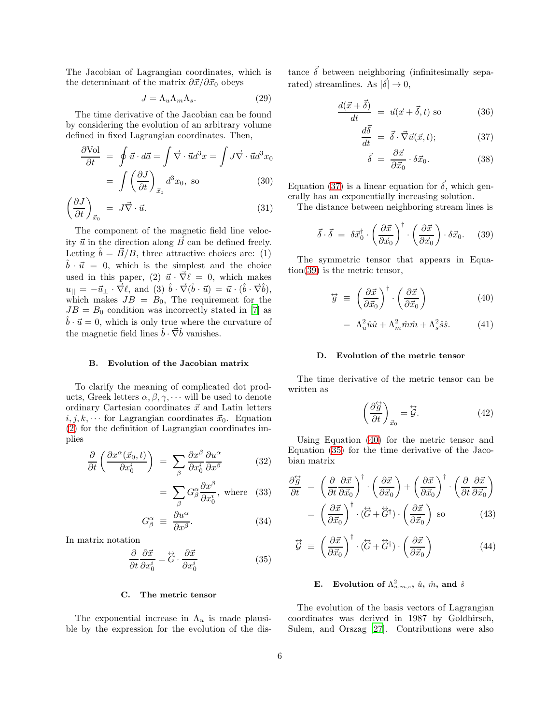The Jacobian of Lagrangian coordinates, which is the determinant of the matrix  $\partial \vec{x}/\partial \vec{x}_0$  obeys

$$
J = \Lambda_u \Lambda_m \Lambda_s. \tag{29}
$$

The time derivative of the Jacobian can be found by considering the evolution of an arbitrary volume defined in fixed Lagrangian coordinates. Then,

<span id="page-5-4"></span>
$$
\frac{\partial \text{Vol}}{\partial t} = \oint \vec{u} \cdot d\vec{a} = \int \vec{\nabla} \cdot \vec{u} d^3 x = \int J \vec{\nabla} \cdot \vec{u} d^3 x_0
$$

$$
= \int \left(\frac{\partial J}{\partial t}\right)_{\vec{x}_0} d^3 x_0, \text{ so}
$$
(30)

$$
\left(\frac{\partial J}{\partial t}\right)_{\vec{x}_0} = J\vec{\nabla} \cdot \vec{u}.\tag{31}
$$

The component of the magnetic field line velocity  $\vec{u}$  in the direction along  $\vec{B}$  can be defined freely. Letting  $\hat{b} = \vec{B}/B$ , three attractive choices are: (1)  $\hat{b} \cdot \vec{u} = 0$ , which is the simplest and the choice used in this paper, (2)  $\vec{u} \cdot \vec{\nabla} \ell = 0$ , which makes  $u_{||} = -\vec{u}_{\perp} \cdot \vec{\nabla} \ell$ , and  $(3)$   $\hat{b} \cdot \vec{\nabla} (\hat{b} \cdot \vec{u}) = \vec{u} \cdot (\hat{b} \cdot \vec{\nabla} \hat{b}),$ which makes  $JB = B_0$ , The requirement for the  $JB = B_0$  condition was incorrectly stated in [\[7\]](#page-15-14) as  $\hat{b} \cdot \vec{u} = 0$ , which is only true where the curvature of the magnetic field lines  $\hat{b} \cdot \vec{\nabla} \hat{b}$  vanishes.

# B. Evolution of the Jacobian matrix

To clarify the meaning of complicated dot products, Greek letters  $\alpha, \beta, \gamma, \cdots$  will be used to denote ordinary Cartesian coordinates  $\vec{x}$  and Latin letters  $i, j, k, \cdots$  for Lagrangian coordinates  $\vec{x}_0$ . Equation [\(2\)](#page-0-1) for the definition of Lagrangian coordinates implies

<span id="page-5-5"></span>
$$
\frac{\partial}{\partial t} \left( \frac{\partial x^{\alpha}(\vec{x}_0, t)}{\partial x_0^i} \right) = \sum_{\beta} \frac{\partial x^{\beta}}{\partial x_0^i} \frac{\partial u^{\alpha}}{\partial x^{\beta}} \tag{32}
$$

$$
= \sum_{\beta} G^{\alpha}_{\beta} \frac{\partial x^{\beta}}{\partial x_0^i}, \text{ where } (33)
$$

$$
G^{\alpha}_{\beta} \equiv \frac{\partial u^{\alpha}}{\partial x^{\beta}}.
$$
 (34)

In matrix notation

<span id="page-5-3"></span>
$$
\frac{\partial}{\partial t} \frac{\partial \vec{x}}{\partial x_0^i} = \vec{G} \cdot \frac{\partial \vec{x}}{\partial x_0^i}
$$
 (35)

# C. The metric tensor

The exponential increase in  $\Lambda_u$  is made plausible by the expression for the evolution of the distance  $\vec{\delta}$  between neighboring (infinitesimally separated) streamlines. As  $|\vec{\delta}| \to 0$ ,

<span id="page-5-0"></span>
$$
\frac{d(\vec{x} + \vec{\delta})}{dt} = \vec{u}(\vec{x} + \vec{\delta}, t) \text{ so } (36)
$$

$$
\frac{d\vec{\delta}}{dt} = \vec{\delta} \cdot \vec{\nabla} \vec{u}(\vec{x}, t); \tag{37}
$$

$$
\vec{\delta} = \frac{\partial \vec{x}}{\partial \vec{x}_0} \cdot \delta \vec{x}_0.
$$
 (38)

Equation [\(37\)](#page-5-0) is a linear equation for  $\vec{\delta}$ , which generally has an exponentially increasing solution.

The distance between neighboring stream lines is

<span id="page-5-1"></span>
$$
\vec{\delta} \cdot \vec{\delta} = \delta \vec{x}_0^{\dagger} \cdot \left(\frac{\partial \vec{x}}{\partial \vec{x}_0}\right)^{\dagger} \cdot \left(\frac{\partial \vec{x}}{\partial \vec{x}_0}\right) \cdot \delta \vec{x}_0. \tag{39}
$$

The symmetric tensor that appears in Equation[\(39\)](#page-5-1) is the metric tensor,

<span id="page-5-2"></span>
$$
\overleftrightarrow{g} \equiv \left(\frac{\partial \vec{x}}{\partial \vec{x}_0}\right)^{\dagger} \cdot \left(\frac{\partial \vec{x}}{\partial \vec{x}_0}\right) \tag{40}
$$

$$
= \Lambda_u^2 \hat{u}\hat{u} + \Lambda_m^2 \hat{m}\hat{m} + \Lambda_s^2 \hat{s}\hat{s}.
$$
 (41)

#### D. Evolution of the metric tensor

The time derivative of the metric tensor can be written as

$$
\left(\frac{\partial \overleftrightarrow{g}}{\partial t}\right)_{\vec{x}_0} = \overleftrightarrow{\mathcal{G}}.\tag{42}
$$

Using Equation [\(40\)](#page-5-2) for the metric tensor and Equation [\(35\)](#page-5-3) for the time derivative of the Jacobian matrix

$$
\frac{\partial \overleftrightarrow{g}}{\partial t} = \left(\frac{\partial}{\partial t} \frac{\partial \overrightarrow{x}}{\partial \overrightarrow{x}_0}\right)^{\dagger} \cdot \left(\frac{\partial \overrightarrow{x}}{\partial \overrightarrow{x}_0}\right) + \left(\frac{\partial \overrightarrow{x}}{\partial \overrightarrow{x}_0}\right)^{\dagger} \cdot \left(\frac{\partial}{\partial t} \frac{\partial \overrightarrow{x}}{\partial \overrightarrow{x}_0}\right)
$$
\n
$$
= \left(\frac{\partial \overrightarrow{x}}{\partial \overrightarrow{x}_0}\right)^{\dagger} \cdot \left(\overleftrightarrow{G} + \overleftrightarrow{G}^{\dagger}\right) \cdot \left(\frac{\partial \overrightarrow{x}}{\partial \overrightarrow{x}_0}\right) \text{ so} \qquad (43)
$$

$$
\vec{\mathcal{G}} = \left(\frac{\partial \vec{x}}{\partial \vec{x}_0}\right)^{\dagger} \cdot (\vec{G} + \vec{G}^{\dagger}) \cdot \left(\frac{\partial \vec{x}}{\partial \vec{x}_0}\right) \tag{44}
$$

# <span id="page-5-6"></span>**E.** Evolution of  $\Lambda_{u,m,s}^2$ ,  $\hat{u}$ ,  $\hat{m}$ , and  $\hat{s}$

The evolution of the basis vectors of Lagrangian coordinates was derived in 1987 by Goldhirsch, Sulem, and Orszag [\[27\]](#page-15-17). Contributions were also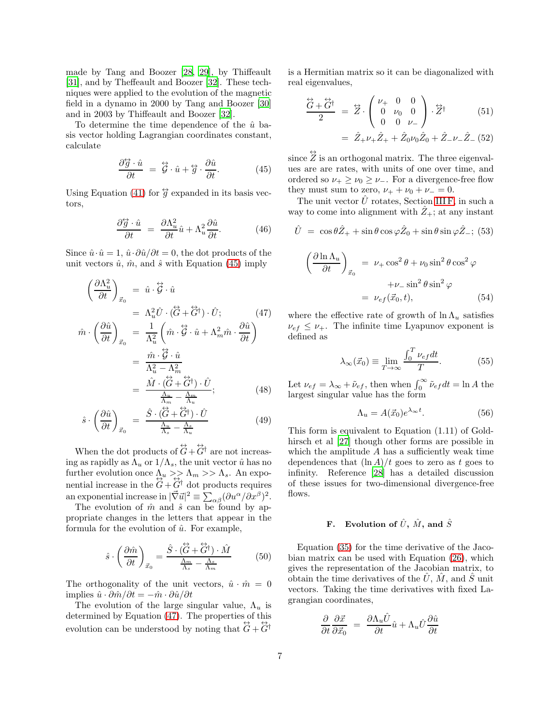made by Tang and Boozer [\[28,](#page-15-18) [29](#page-15-19)], by Thiffeault [\[31\]](#page-15-20), and by Theffeault and Boozer [\[32\]](#page-15-21). These techniques were applied to the evolution of the magnetic field in a dynamo in 2000 by Tang and Boozer [\[30](#page-15-22)] and in 2003 by Thiffeault and Boozer [\[32\]](#page-15-21).

To determine the time dependence of the  $\hat{u}$  basis vector holding Lagrangian coordinates constant, calculate

<span id="page-6-0"></span>
$$
\frac{\partial \overleftrightarrow{g} \cdot \hat{u}}{\partial t} = \overleftrightarrow{\mathcal{G}} \cdot \hat{u} + \overleftrightarrow{g} \cdot \frac{\partial \hat{u}}{\partial t}.
$$
 (45)

Using Equation [\(41\)](#page-5-2) for  $\overleftrightarrow{g}$  expanded in its basis vectors,

$$
\frac{\partial \overleftrightarrow{g} \cdot \hat{u}}{\partial t} = \frac{\partial \Lambda_u^2}{\partial t} \hat{u} + \Lambda_u^2 \frac{\partial \hat{u}}{\partial t}.
$$
 (46)

Since  $\hat{u} \cdot \hat{u} = 1$ ,  $\hat{u} \cdot \partial \hat{u}/\partial t = 0$ , the dot products of the unit vectors  $\hat{u}$ ,  $\hat{m}$ , and  $\hat{s}$  with Equation [\(45\)](#page-6-0) imply

<span id="page-6-1"></span>
$$
\left(\frac{\partial \Lambda_u^2}{\partial t}\right)_{\vec{x}_0} = \hat{u} \cdot \vec{\mathcal{G}} \cdot \hat{u}
$$

$$
= \Lambda_u^2 \hat{U} \cdot (\vec{G} + \vec{G}^{\dagger}) \cdot \hat{U}; \qquad (47)
$$

$$
\left(\frac{\partial \hat{u}}{\partial t}\right) = \frac{1}{\left(\hat{u} + \vec{G}^{\dagger}\right) \cdot \hat{u} + \frac{\partial \hat{u}}{\partial t}\right)}
$$

$$
\hat{m} \cdot \left(\frac{\partial \hat{u}}{\partial t}\right)_{\vec{x}_0} = \frac{1}{\Lambda_u^2} \left(\hat{m} \cdot \dot{\vec{G}} \cdot \hat{u} + \Lambda_m^2 \hat{m} \cdot \frac{\partial \hat{u}}{\partial t}\right)
$$

$$
= \frac{\hat{m} \cdot \dot{\vec{G}} \cdot \hat{u}}{\Lambda_u^2 - \Lambda_m^2}
$$

$$
= \frac{\hat{M} \cdot (\dot{\vec{G}} + \dot{\vec{G}}^{\dagger}) \cdot \hat{U}}{\frac{\Lambda_u}{\Lambda_m} - \frac{\Lambda_m}{\Lambda_u}};
$$
(48)

$$
\hat{s} \cdot \left(\frac{\partial \hat{u}}{\partial t}\right)_{\vec{x}_0} = \frac{\hat{S} \cdot (\stackrel{\leftrightarrow}{G} + \stackrel{\leftrightarrow}{G}^{\dagger}) \cdot \hat{U}}{\frac{\Lambda_u}{\Lambda_s} - \frac{\Lambda_s}{\Lambda_u}}
$$
(49)

When the dot products of  $\overleftrightarrow{G} + \overleftrightarrow{G}^{\dagger}$  are not increasing as rapidly as  $\Lambda_u$  or  $1/\Lambda_s$ , the unit vector  $\hat{u}$  has no further evolution once  $\Lambda_u >> \Lambda_m >> \Lambda_s$ . An exponential increase in the  $\overleftrightarrow{G} + \overleftrightarrow{G}^{\dagger}$  dot products requires an exponential increase in  $|\vec{\nabla} \vec{u}|^2 \equiv \sum_{\alpha\beta} (\partial u^\alpha/\partial x^\beta)^2$ .

The evolution of  $\hat{m}$  and  $\hat{s}$  can be found by appropriate changes in the letters that appear in the formula for the evolution of  $\hat{u}$ . For example,

$$
\hat{s} \cdot \left(\frac{\partial \hat{m}}{\partial t}\right)_{\vec{x}_0} = \frac{\hat{S} \cdot (\stackrel{\leftrightarrow}{G} + \stackrel{\leftrightarrow}{G}^{\dagger}) \cdot \hat{M}}{\frac{\Lambda_m}{\Lambda_s} - \frac{\Lambda_s}{\Lambda_m}}
$$
(50)

The orthogonality of the unit vectors,  $\hat{u} \cdot \hat{m} = 0$ implies  $\hat{u} \cdot \partial \hat{m}/\partial t = -\hat{m} \cdot \partial \hat{u}/\partial t$ 

The evolution of the large singular value,  $\Lambda_u$  is determined by Equation [\(47\)](#page-6-1). The properties of this evolution can be understood by noting that  $\overleftrightarrow{G} + \overleftrightarrow{G}$ <sup>†</sup>

is a Hermitian matrix so it can be diagonalized with real eigenvalues,

$$
\frac{\ddot{G} + \ddot{G}^{\dagger}}{2} = \dot{Z} \cdot \begin{pmatrix} \nu_{+} & 0 & 0 \\ 0 & \nu_{0} & 0 \\ 0 & 0 & \nu_{-} \end{pmatrix} \cdot \dot{Z}^{\dagger} \tag{51}
$$

$$
= \hat{Z}_{+} \nu_{+} \hat{Z}_{+} + \hat{Z}_{0} \nu_{0} \hat{Z}_{0} + \hat{Z}_{-} \nu_{-} \hat{Z}_{-} (52)
$$

since  $\overleftrightarrow{Z}$  is an orthogonal matrix. The three eigenvalues are are rates, with units of one over time, and ordered so  $\nu_+ \geq \nu_0 \geq \nu_-$ . For a divergence-free flow they must sum to zero,  $\nu_+ + \nu_0 + \nu_- = 0$ .

The unit vector  $\hat{U}$  rotates, Section [III F,](#page-6-2) in such a way to come into alignment with  $Z_{+}$ ; at any instant

$$
\hat{U} = \cos\theta \hat{Z}_{+} + \sin\theta \cos\varphi \hat{Z}_{0} + \sin\theta \sin\varphi \hat{Z}_{-};
$$
 (53)

$$
\left(\frac{\partial \ln \Lambda_u}{\partial t}\right)_{\vec{x}_0} = \nu_+ \cos^2 \theta + \nu_0 \sin^2 \theta \cos^2 \varphi
$$

$$
+ \nu_- \sin^2 \theta \sin^2 \varphi
$$

$$
= \nu_{ef}(\vec{x}_0, t), \qquad (54)
$$

where the effective rate of growth of  $\ln \Lambda_u$  satisfies  $\nu_{ef} \leq \nu_{+}$ . The infinite time Lyapunov exponent is defined as

$$
\lambda_{\infty}(\vec{x}_0) \equiv \lim_{T \to \infty} \frac{\int_0^T \nu_{\epsilon f} dt}{T}.
$$
 (55)

Let  $\nu_{ef} = \lambda_{\infty} + \tilde{\nu}_{ef}$ , then when  $\int_0^{\infty} \tilde{\nu}_{ef} dt = \ln A$  the largest singular value has the form

<span id="page-6-3"></span>
$$
\Lambda_u = A(\vec{x}_0) e^{\lambda_\infty t}.\tag{56}
$$

This form is equivalent to Equation (1.11) of Goldhirsch et al [\[27](#page-15-17)] though other forms are possible in which the amplitude  $A$  has a sufficiently weak time dependences that  $(\ln A)/t$  goes to zero as t goes to infinity. Reference [\[28\]](#page-15-18) has a detailed discussion of these issues for two-dimensional divergence-free flows.

# <span id="page-6-2"></span>**F.** Evolution of  $\hat{U}$ ,  $\hat{M}$ , and  $\hat{S}$

Equation [\(35\)](#page-5-3) for the time derivative of the Jacobian matrix can be used with Equation [\(26\)](#page-4-1), which gives the representation of the Jacobian matrix, to obtain the time derivatives of the  $\hat{U}$ ,  $\hat{M}$ , and  $\hat{S}$  unit vectors. Taking the time derivatives with fixed Lagrangian coordinates,

$$
\frac{\partial}{\partial t} \frac{\partial \vec{x}}{\partial \vec{x}_0} = \frac{\partial \Lambda_u \hat{U}}{\partial t} \hat{u} + \Lambda_u \hat{U} \frac{\partial \hat{u}}{\partial t}
$$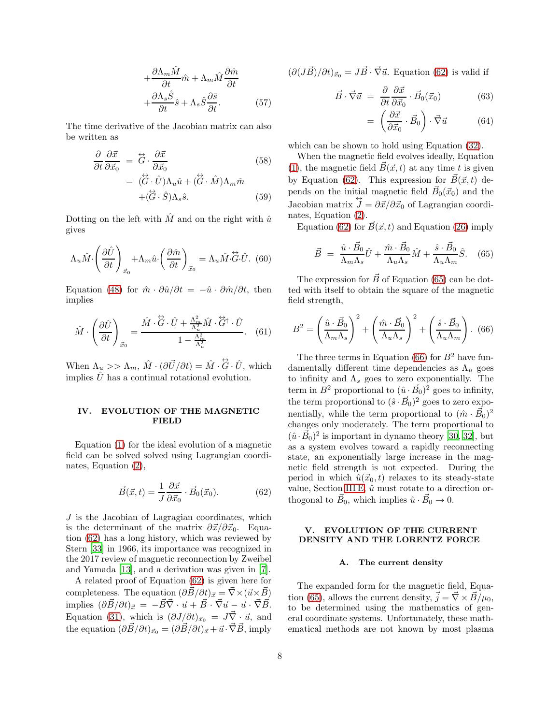$$
+\frac{\partial \Lambda_m \hat{M}}{\partial t} \hat{m} + \Lambda_m \hat{M} \frac{\partial \hat{m}}{\partial t} + \frac{\partial \Lambda_s \hat{S}}{\partial t} \hat{s} + \Lambda_s \hat{S} \frac{\partial \hat{s}}{\partial t}.
$$
 (57)

The time derivative of the Jacobian matrix can also be written as

$$
\frac{\partial}{\partial t} \frac{\partial \vec{x}}{\partial \vec{x}_0} = \vec{G} \cdot \frac{\partial \vec{x}}{\partial \vec{x}_0} \qquad (58)
$$

$$
= (\vec{G} \cdot \hat{U}) \Lambda_u \hat{u} + (\vec{G} \cdot \hat{M}) \Lambda_m \hat{m} \qquad (59)
$$

Dotting on the left with  $\hat{M}$  and on the right with  $\hat{u}$ gives

$$
\Lambda_u \hat{M} \cdot \left(\frac{\partial \hat{U}}{\partial t}\right)_{\vec{x}_0} + \Lambda_m \hat{u} \cdot \left(\frac{\partial \hat{m}}{\partial t}\right)_{\vec{x}_0} = \Lambda_u \hat{M} \cdot \hat{G} \cdot \hat{U}. \tag{60}
$$

Equation [\(48\)](#page-6-1) for  $\hat{m} \cdot \partial \hat{u}/\partial t = -\hat{u} \cdot \partial \hat{m}/\partial t$ , then implies

$$
\hat{M} \cdot \left(\frac{\partial \hat{U}}{\partial t}\right)_{\vec{x}_0} = \frac{\hat{M} \cdot \overleftrightarrow{G} \cdot \hat{U} + \frac{\Lambda_m^2}{\Lambda_u^2} \hat{M} \cdot \overleftrightarrow{G}^{\dagger} \cdot \hat{U}}{1 - \frac{\Lambda_m^2}{\Lambda_u^2}}.
$$
 (61)

When  $\Lambda_u >> \Lambda_m$ ,  $\hat{M} \cdot (\partial \vec{U}/\partial t) = \hat{M} \cdot \hat{\vec{G}} \cdot \hat{U}$ , which implies  $\hat{U}$  has a continual rotational evolution.

# <span id="page-7-0"></span>IV. EVOLUTION OF THE MAGNETIC FIELD

Equation [\(1\)](#page-0-0) for the ideal evolution of a magnetic field can be solved solved using Lagrangian coordinates, Equation [\(2\)](#page-0-1),

<span id="page-7-2"></span>
$$
\vec{B}(\vec{x},t) = \frac{1}{J} \frac{\partial \vec{x}}{\partial \vec{x}_0} \cdot \vec{B}_0(\vec{x}_0).
$$
 (62)

 $J$  is the Jacobian of Lagragian coordinates, which is the determinant of the matrix  $\partial \vec{x}/\partial \vec{x}_0$ . Equation [\(62\)](#page-7-2) has a long history, which was reviewed by Stern [\[33](#page-15-23)] in 1966, its importance was recognized in the 2017 review of magnetic reconnection by Zweibel and Yamada [\[13\]](#page-15-5), and a derivation was given in [\[7\]](#page-15-14).

A related proof of Equation [\(62\)](#page-7-2) is given here for completeness. The equation  $(\partial \vec{B}/\partial t)_{\vec{x}} = \nabla \times (\vec{u} \times \vec{B})$ implies  $(\partial \vec{B}/\partial t)_{\vec{x}} = -\vec{B}\vec{\nabla} \cdot \vec{u} + \vec{B} \cdot \vec{\nabla}\vec{u} - \vec{u} \cdot \vec{\nabla}\vec{B}$ . Equation [\(31\)](#page-5-4), which is  $(\partial J/\partial t)_{\vec{x}_0} = J\vec{\nabla} \cdot \vec{u}$ , and the equation  $(\partial \vec{B}/\partial t)_{\vec{x}_0} = (\partial \vec{B}/\partial t)_{\vec{x}} + \vec{u} \cdot \vec{\nabla} \vec{B}$ , imply  $(\partial (J\vec{B})/\partial t)_{\vec{x}_0} = J\vec{B} \cdot \vec{\nabla} \vec{u}$ . Equation [\(62\)](#page-7-2) is valid if

$$
\vec{B} \cdot \vec{\nabla} \vec{u} = \frac{\partial}{\partial t} \frac{\partial \vec{x}}{\partial \vec{x}_0} \cdot \vec{B}_0(\vec{x}_0)
$$
(63)

$$
= \left(\frac{\partial \vec{x}}{\partial \vec{x}_0} \cdot \vec{B}_0\right) \cdot \vec{\nabla} \vec{u} \tag{64}
$$

which can be shown to hold using Equation [\(32\)](#page-5-5).

When the magnetic field evolves ideally, Equation [\(1\)](#page-0-0), the magnetic field  $\vec{B}(\vec{x}, t)$  at any time t is given by Equation [\(62\)](#page-7-2). This expression for  $\vec{B}(\vec{x}, t)$  depends on the initial magnetic field  $\vec{B}_0(\vec{x}_0)$  and the Jacobian matrix  $\overleftrightarrow{J} = \partial \overrightarrow{x}/\partial \overrightarrow{x_0}$  of Lagrangian coordinates, Equation [\(2\)](#page-0-1).

Equation [\(62\)](#page-7-2) for  $\vec{B}(\vec{x}, t)$  and Equation [\(26\)](#page-4-1) imply

<span id="page-7-3"></span>
$$
\vec{B} = \frac{\hat{u} \cdot \vec{B}_0}{\Lambda_m \Lambda_s} \hat{U} + \frac{\hat{m} \cdot \vec{B}_0}{\Lambda_u \Lambda_s} \hat{M} + \frac{\hat{s} \cdot \vec{B}_0}{\Lambda_u \Lambda_m} \hat{S}.
$$
 (65)

The expression for  $\vec{B}$  of Equation [\(65\)](#page-7-3) can be dotted with itself to obtain the square of the magnetic field strength,

<span id="page-7-4"></span>
$$
B^{2} = \left(\frac{\hat{u} \cdot \vec{B}_{0}}{\Lambda_{m} \Lambda_{s}}\right)^{2} + \left(\frac{\hat{m} \cdot \vec{B}_{0}}{\Lambda_{u} \Lambda_{s}}\right)^{2} + \left(\frac{\hat{s} \cdot \vec{B}_{0}}{\Lambda_{u} \Lambda_{m}}\right). (66)
$$

The three terms in Equation [\(66\)](#page-7-4) for  $B^2$  have fundamentally different time dependencies as  $\Lambda_u$  goes to infinity and  $\Lambda_s$  goes to zero exponentially. The term in  $B^2$  proportional to  $(\hat{u} \cdot \vec{B}_0)^2$  goes to infinity, the term proportional to  $(\hat{s} \cdot \vec{B}_0)^2$  goes to zero exponentially, while the term proportional to  $(\hat{m} \cdot \vec{B}_0)^2$ changes only moderately. The term proportional to  $(\hat{u} \cdot \vec{B}_0)^2$  is important in dynamo theory [\[30,](#page-15-22) [32\]](#page-15-21), but as a system evolves toward a rapidly reconnecting state, an exponentially large increase in the magnetic field strength is not expected. During the period in which  $\hat{u}(\vec{x}_0, t)$  relaxes to its steady-state value, Section [III E,](#page-5-6)  $\hat{u}$  must rotate to a direction orthogonal to  $\vec{B}_0$ , which implies  $\hat{u} \cdot \vec{B}_0 \to 0$ .

# <span id="page-7-1"></span>V. EVOLUTION OF THE CURRENT DENSITY AND THE LORENTZ FORCE

#### A. The current density

The expanded form for the magnetic field, Equa-tion [\(65\)](#page-7-3), allows the current density,  $\vec{j} = \vec{\nabla} \times \vec{B}/\mu_0$ , to be determined using the mathematics of general coordinate systems. Unfortunately, these mathematical methods are not known by most plasma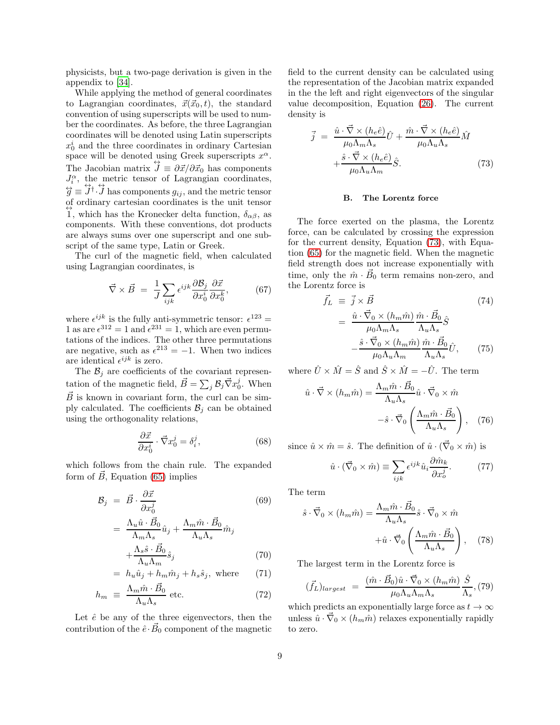physicists, but a two-page derivation is given in the appendix to [\[34](#page-15-24)].

While applying the method of general coordinates to Lagrangian coordinates,  $\vec{x}(\vec{x}_0, t)$ , the standard convention of using superscripts will be used to number the coordinates. As before, the three Lagrangian coordinates will be denoted using Latin superscripts  $x_0^i$  and the three coordinates in ordinary Cartesian space will be denoted using Greek superscripts  $x^{\alpha}$ . The Jacobian matrix  $\overleftrightarrow{J} \equiv \frac{\partial \vec{x}}{\partial \vec{x}}$  has components  $J_i^{\alpha}$ , the metric tensor of Lagrangian coordinates,  $\overleftrightarrow{g} \equiv \overleftrightarrow{J}^{\dagger} \cdot \overleftrightarrow{J}$  has components  $g_{ij}$ , and the metric tensor of ordinary cartesian coordinates is the unit tensor  $\overleftrightarrow{1}$ , which has the Kronecker delta function,  $\delta_{\alpha\beta}$ , as components. With these conventions, dot products are always sums over one superscript and one subscript of the same type, Latin or Greek.

The curl of the magnetic field, when calculated using Lagrangian coordinates, is

$$
\vec{\nabla} \times \vec{B} = \frac{1}{J} \sum_{ijk} \epsilon^{ijk} \frac{\partial \mathcal{B}_j}{\partial x_0^i} \frac{\partial \vec{x}}{\partial x_0^k}, \tag{67}
$$

where  $\epsilon^{ijk}$  is the fully anti-symmetric tensor:  $\epsilon^{123}$  = 1 as are  $\epsilon^{312} = 1$  and  $\epsilon^{231} = 1$ , which are even permutations of the indices. The other three permutations are negative, such as  $\epsilon^{213} = -1$ . When two indices are identical  $\epsilon^{ijk}$  is zero.

The  $\mathcal{B}_j$  are coefficients of the covariant representation of the magnetic field,  $\vec{B} = \sum_j \mathcal{B}_j \vec{\nabla} x_0^j$ . When  $\vec{B}$  is known in covariant form, the curl can be simply calculated. The coefficients  $\mathcal{B}_i$  can be obtained using the orthogonality relations,

$$
\frac{\partial \vec{x}}{\partial x_0^i} \cdot \vec{\nabla} x_0^j = \delta_i^j,\tag{68}
$$

which follows from the chain rule. The expanded form of  $\vec{B}$ , Equation [\(65\)](#page-7-3) implies

$$
\mathcal{B}_j = \vec{B} \cdot \frac{\partial \vec{x}}{\partial x_0^j} \tag{69}
$$

$$
= \frac{\Lambda_u \hat{u} \cdot \vec{B_0}}{\Lambda_m \Lambda_s} \hat{u}_j + \frac{\Lambda_m \hat{m} \cdot \vec{B_0}}{\Lambda_u \Lambda_s} \hat{m}_j
$$

$$
+ \frac{\Lambda_s \hat{s} \cdot \vec{B_0}}{\Lambda_u \Lambda_m} \hat{s}_j \tag{70}
$$

$$
= h_u \hat{u}_j + h_m \hat{m}_j + h_s \hat{s}_j, \text{ where } (71)
$$

$$
h_m \equiv \frac{\Lambda_m \hat{m} \cdot \vec{B_0}}{\Lambda_u \Lambda_s} \text{ etc.}
$$
 (72)

Let  $\hat{e}$  be any of the three eigenvectors, then the contribution of the  $\hat{e} \cdot \vec{B_0}$  component of the magnetic field to the current density can be calculated using the representation of the Jacobian matrix expanded in the the left and right eigenvectors of the singular value decomposition, Equation [\(26\)](#page-4-1). The current density is

<span id="page-8-0"></span>
$$
\vec{j} = \frac{\hat{u} \cdot \vec{\nabla} \times (h_e \hat{e})}{\mu_0 \Lambda_m \Lambda_s} \hat{U} + \frac{\hat{m} \cdot \vec{\nabla} \times (h_e \hat{e})}{\mu_0 \Lambda_u \Lambda_s} \hat{M} + \frac{\hat{s} \cdot \vec{\nabla} \times (h_e \hat{e})}{\mu_0 \Lambda_u \Lambda_m} \hat{S}.
$$
\n(73)

#### B. The Lorentz force

The force exerted on the plasma, the Lorentz force, can be calculated by crossing the expression for the current density, Equation [\(73\)](#page-8-0), with Equation [\(65\)](#page-7-3) for the magnetic field. When the magnetic field strength does not increase exponentially with time, only the  $\hat{m} \cdot \vec{B}_0$  term remains non-zero, and the Lorentz force is

$$
\vec{f}_L \equiv \vec{j} \times \vec{B} \qquad (74)
$$
\n
$$
= \frac{\hat{u} \cdot \vec{\nabla}_0 \times (h_m \hat{m})}{\mu_0 \Lambda_m \Lambda_s} \frac{\hat{m} \cdot \vec{B}_0}{\Lambda_u \Lambda_s} \hat{S}
$$
\n
$$
- \frac{\hat{s} \cdot \vec{\nabla}_0 \times (h_m \hat{m})}{\mu_0 \Lambda_u \Lambda_m} \frac{\hat{m} \cdot \vec{B}_0}{\Lambda_u \Lambda_s} \hat{U}, \qquad (75)
$$

where  $\hat{U} \times \hat{M} = \hat{S}$  and  $\hat{S} \times \hat{M} = -\hat{U}$ . The term

$$
\hat{u} \cdot \vec{\nabla} \times (h_m \hat{m}) = \frac{\Lambda_m \hat{m} \cdot \vec{B_0}}{\Lambda_u \Lambda_s} \hat{u} \cdot \vec{\nabla}_0 \times \hat{m} \n- \hat{s} \cdot \vec{\nabla}_0 \left( \frac{\Lambda_m \hat{m} \cdot \vec{B_0}}{\Lambda_u \Lambda_s} \right), \quad (76)
$$

since  $\hat{u} \times \hat{m} = \hat{s}$ . The definition of  $\hat{u} \cdot (\vec{\nabla}_0 \times \hat{m})$  is

$$
\hat{u} \cdot (\vec{\nabla}_0 \times \hat{m}) \equiv \sum_{ijk} \epsilon^{ijk} \hat{u}_i \frac{\partial \hat{m}_k}{\partial x_o^j}.
$$
 (77)

The term

$$
\hat{s} \cdot \vec{\nabla}_0 \times (h_m \hat{m}) = \frac{\Lambda_m \hat{m} \cdot \vec{B}_0}{\Lambda_u \Lambda_s} \hat{s} \cdot \vec{\nabla}_0 \times \hat{m} + \hat{u} \cdot \vec{\nabla}_0 \left( \frac{\Lambda_m \hat{m} \cdot \vec{B}_0}{\Lambda_u \Lambda_s} \right), \quad (78)
$$

The largest term in the Lorentz force is

$$
(\vec{f}_L)_{largest} = \frac{(\hat{m} \cdot \vec{B}_0)\hat{u} \cdot \vec{\nabla}_0 \times (h_m \hat{m})}{\mu_0 \Lambda_u \Lambda_m \Lambda_s} \frac{\hat{S}}{\Lambda_s}, (79)
$$

which predicts an exponentially large force as  $t \to \infty$ unless  $\hat{u} \cdot \vec{\nabla}_0 \times (h_m \hat{m})$  relaxes exponentially rapidly to zero.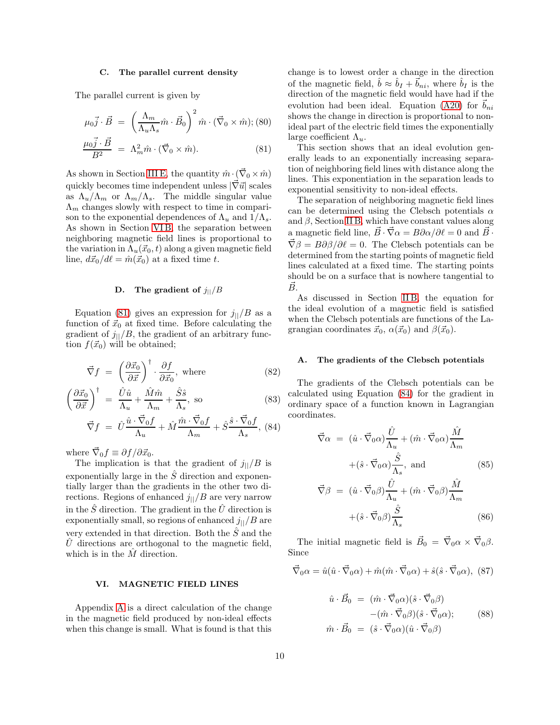### C. The parallel current density

The parallel current is given by

<span id="page-9-1"></span>
$$
\mu_0 \vec{j} \cdot \vec{B} = \left(\frac{\Lambda_m}{\Lambda_u \Lambda_s} \hat{m} \cdot \vec{B}_0\right)^2 \hat{m} \cdot (\vec{\nabla}_0 \times \hat{m}); (80)
$$

$$
\frac{\mu_0 \vec{j} \cdot \vec{B}}{B^2} = \Lambda_m^2 \hat{m} \cdot (\vec{\nabla}_0 \times \hat{m}).
$$
(81)

As shown in Section [III E,](#page-5-6) the quantity  $\hat{m} \cdot (\vec{\nabla}_0 \times \hat{m})$ quickly becomes time independent unless  $|\vec{\nabla} \vec{u}|$  scales as  $\Lambda_u/\Lambda_m$  or  $\Lambda_m/\Lambda_s$ . The middle singular value  $\Lambda_m$  changes slowly with respect to time in comparison to the exponential dependences of  $\Lambda_u$  and  $1/\Lambda_s$ . As shown in Section [VI B,](#page-10-1) the separation between neighboring magnetic field lines is proportional to the variation in  $\Lambda_u(\vec{x}_0, t)$  along a given magnetic field line,  $d\vec{x}_0/d\ell = \hat{m}(\vec{x}_0)$  at a fixed time t.

## D. The gradient of  $j_{||}/B$

Equation [\(81\)](#page-9-1) gives an expression for  $j_{\parallel}/B$  as a function of  $\vec{x}_0$  at fixed time. Before calculating the gradient of  $j_{\parallel}/B$ , the gradient of an arbitrary function  $f(\vec{x}_0)$  will be obtained;

<span id="page-9-2"></span>
$$
\vec{\nabla}f = \left(\frac{\partial \vec{x}_0}{\partial \vec{x}}\right)^{\dagger} \cdot \frac{\partial f}{\partial \vec{x}_0}, \text{ where } (82)
$$

$$
\left(\frac{\partial \vec{x}_0}{\partial \vec{x}}\right)^{\dagger} = \frac{\hat{U}\hat{u}}{\Lambda_u} + \frac{\hat{M}\hat{m}}{\Lambda_m} + \frac{\hat{S}\hat{s}}{\Lambda_s}, \text{ so}
$$
 (83)

$$
\vec{\nabla}f = \hat{U}\frac{\hat{u}\cdot\vec{\nabla}_0f}{\Lambda_u} + \hat{M}\frac{\hat{m}\cdot\vec{\nabla}_0f}{\Lambda_m} + \hat{S}\frac{\hat{s}\cdot\vec{\nabla}_0f}{\Lambda_s},\ (84)
$$

where  $\vec{\nabla}_0 f \equiv \partial f / \partial \vec{x}_0$ .

The implication is that the gradient of  $j_{\parallel}/B$  is exponentially large in the  $\ddot{S}$  direction and exponentially larger than the gradients in the other two directions. Regions of enhanced  $j_{\parallel}/B$  are very narrow in the  $\ddot{S}$  direction. The gradient in the  $\ddot{U}$  direction is exponentially small, so regions of enhanced  $j_{\parallel}/B$  are very extended in that direction. Both the  $\hat{S}$  and the  $\hat{U}$  directions are orthogonal to the magnetic field, which is in the  $\hat{M}$  direction.

#### <span id="page-9-0"></span>VI. MAGNETIC FIELD LINES

Appendix [A](#page-12-0) is a direct calculation of the change in the magnetic field produced by non-ideal effects when this change is small. What is found is that this change is to lowest order a change in the direction of the magnetic field,  $\hat{b} \approx \hat{b}_I + \vec{b}_{ni}$ , where  $\hat{b}_I$  is the direction of the magnetic field would have had if the evolution had been ideal. Equation [\(A20\)](#page-13-0) for  $\vec{b}_{ni}$ shows the change in direction is proportional to nonideal part of the electric field times the exponentially large coefficient  $\Lambda_u$ .

This section shows that an ideal evolution generally leads to an exponentially increasing separation of neighboring field lines with distance along the lines. This exponentiation in the separation leads to exponential sensitivity to non-ideal effects.

The separation of neighboring magnetic field lines can be determined using the Clebsch potentials  $\alpha$ and  $\beta$ , Section [II B,](#page-4-2) which have constant values along a magnetic field line,  $\vec{B} \cdot \vec{\nabla} \alpha = B \partial \alpha / \partial \ell = 0$  and  $\vec{B} \cdot \vec{\nabla} \alpha = B \partial \alpha / \partial \ell = 0$  $\vec{\nabla}\beta = B\partial\beta/\partial \ell = 0$ . The Clebsch potentials can be determined from the starting points of magnetic field lines calculated at a fixed time. The starting points should be on a surface that is nowhere tangential to  $\vec{B}$ .

As discussed in Section [II B,](#page-4-2) the equation for the ideal evolution of a magnetic field is satisfied when the Clebsch potentials are functions of the Lagrangian coordinates  $\vec{x}_0$ ,  $\alpha(\vec{x}_0)$  and  $\beta(\vec{x}_0)$ .

#### A. The gradients of the Clebsch potentials

The gradients of the Clebsch potentials can be calculated using Equation [\(84\)](#page-9-2) for the gradient in ordinary space of a function known in Lagrangian coordinates.

$$
\vec{\nabla}\alpha = (\hat{u} \cdot \vec{\nabla}_0 \alpha) \frac{\hat{U}}{\Lambda_u} + (\hat{m} \cdot \vec{\nabla}_0 \alpha) \frac{\hat{M}}{\Lambda_m} \n+ (\hat{s} \cdot \vec{\nabla}_0 \alpha) \frac{\hat{S}}{\Lambda_s}, \text{ and}
$$
\n(85)

$$
\vec{\nabla}\beta = (\hat{u} \cdot \vec{\nabla}_0 \beta) \frac{\partial}{\Lambda_u} + (\hat{m} \cdot \vec{\nabla}_0 \beta) \frac{M}{\Lambda_m} + (\hat{s} \cdot \vec{\nabla}_0 \beta) \frac{\hat{S}}{\Lambda_s}
$$
(86)

The initial magnetic field is  $\vec{B}_0 = \vec{\nabla}_0 \alpha \times \vec{\nabla}_0 \beta$ . Since

$$
\vec{\nabla}_0 \alpha = \hat{u}(\hat{u} \cdot \vec{\nabla}_0 \alpha) + \hat{m}(\hat{m} \cdot \vec{\nabla}_0 \alpha) + \hat{s}(\hat{s} \cdot \vec{\nabla}_0 \alpha), \tag{87}
$$

$$
\hat{u} \cdot \vec{B}_0 = (\hat{m} \cdot \vec{\nabla}_0 \alpha)(\hat{s} \cdot \vec{\nabla}_0 \beta)
$$

$$
-(\hat{m} \cdot \vec{\nabla}_0 \beta)(\hat{s} \cdot \vec{\nabla}_0 \alpha); \qquad (88)
$$

$$
\hat{m} \cdot \vec{B}_0 = (\hat{s} \cdot \vec{\nabla}_0 \alpha)(\hat{u} \cdot \vec{\nabla}_0 \beta)
$$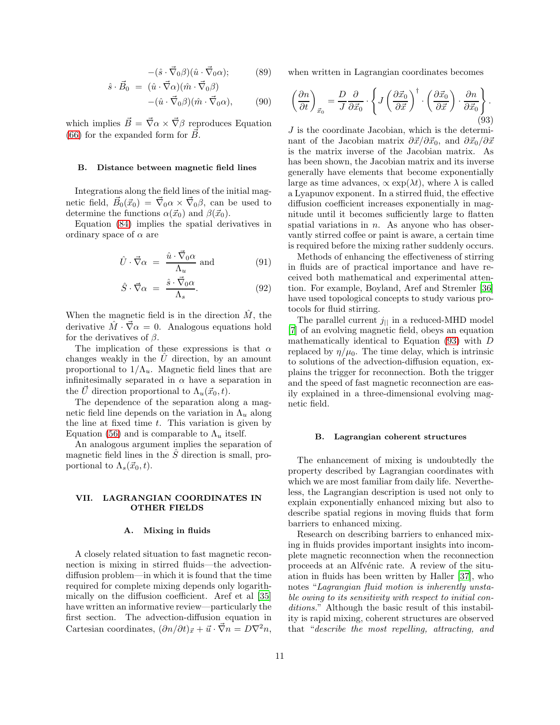$$
-(\hat{s} \cdot \vec{\nabla}_0 \beta)(\hat{u} \cdot \vec{\nabla}_0 \alpha); \qquad (89)
$$

$$
\hat{s} \cdot \vec{B}_0 = (\hat{u} \cdot \vec{\nabla} \alpha)(\hat{m} \cdot \vec{\nabla}_0 \beta)
$$

$$
-(\hat{u} \cdot \vec{\nabla}_0 \beta)(\hat{m} \cdot \vec{\nabla}_0 \alpha), \qquad (90)
$$

which implies  $\vec{B} = \vec{\nabla}\alpha \times \vec{\nabla}\beta$  reproduces Equation [\(66\)](#page-7-4) for the expanded form for  $\vec{B}$ .

#### <span id="page-10-1"></span>B. Distance between magnetic field lines

Integrations along the field lines of the initial magnetic field,  $\vec{B}_0(\vec{x}_0) = \vec{\nabla}_0 \alpha \times \vec{\nabla}_0 \beta$ , can be used to determine the functions  $\alpha(\vec{x}_0)$  and  $\beta(\vec{x}_0)$ .

Equation [\(84\)](#page-9-2) implies the spatial derivatives in ordinary space of  $\alpha$  are

$$
\hat{U} \cdot \vec{\nabla}\alpha = \frac{\hat{u} \cdot \vec{\nabla}_0 \alpha}{\Lambda_u} \text{ and } (91)
$$

$$
\hat{S} \cdot \vec{\nabla}\alpha = \frac{\hat{s} \cdot \vec{\nabla}_0 \alpha}{\Lambda_s}.
$$
\n(92)

When the magnetic field is in the direction  $\tilde{M}$ , the derivative  $\hat{M} \cdot \vec{\nabla}\alpha = 0$ . Analogous equations hold for the derivatives of  $\beta$ .

The implication of these expressions is that  $\alpha$ changes weakly in the  $\hat{U}$  direction, by an amount proportional to  $1/\Lambda_u$ . Magnetic field lines that are infinitesimally separated in  $\alpha$  have a separation in the  $\vec{U}$  direction proportional to  $\Lambda_u(\vec{x}_0, t)$ .

The dependence of the separation along a magnetic field line depends on the variation in  $\Lambda_u$  along the line at fixed time  $t$ . This variation is given by Equation [\(56\)](#page-6-3) and is comparable to  $\Lambda_u$  itself.

An analogous argument implies the separation of magnetic field lines in the  $\ddot{S}$  direction is small, proportional to  $\Lambda_s(\vec{x}_0, t)$ .

# <span id="page-10-0"></span>VII. LAGRANGIAN COORDINATES IN OTHER FIELDS

#### A. Mixing in fluids

A closely related situation to fast magnetic reconnection is mixing in stirred fluids—the advectiondiffusion problem—in which it is found that the time required for complete mixing depends only logarithmically on the diffusion coefficient. Aref et al [\[35](#page-15-25)] have written an informative review—particularly the first section. The advection-diffusion equation in Cartesian coordinates,  $(\partial n/\partial t)_{\vec{x}} + \vec{u} \cdot \vec{\nabla} n = D\nabla^2 n$ ,

when written in Lagrangian coordinates becomes

<span id="page-10-2"></span>
$$
\left(\frac{\partial n}{\partial t}\right)_{\vec{x}_0} = \frac{D}{J} \frac{\partial}{\partial \vec{x}_0} \cdot \left\{ J \left(\frac{\partial \vec{x}_0}{\partial \vec{x}}\right)^\dagger \cdot \left(\frac{\partial \vec{x}_0}{\partial \vec{x}}\right) \cdot \frac{\partial n}{\partial \vec{x}_0} \right\}.
$$
\n(93)

 $J$  is the coordinate Jacobian, which is the determinant of the Jacobian matrix  $\partial \vec{x}/\partial \vec{x}_0$ , and  $\partial \vec{x}_0/\partial \vec{x}$ is the matrix inverse of the Jacobian matrix. As has been shown, the Jacobian matrix and its inverse generally have elements that become exponentially large as time advances,  $\propto \exp(\lambda t)$ , where  $\lambda$  is called a Lyapunov exponent. In a stirred fluid, the effective diffusion coefficient increases exponentially in magnitude until it becomes sufficiently large to flatten spatial variations in  $n$ . As anyone who has observantly stirred coffee or paint is aware, a certain time is required before the mixing rather suddenly occurs.

Methods of enhancing the effectiveness of stirring in fluids are of practical importance and have received both mathematical and experimental attention. For example, Boyland, Aref and Stremler [\[36](#page-15-26)] have used topological concepts to study various protocols for fluid stirring.

The parallel current  $j_{\parallel}$  in a reduced-MHD model [\[7\]](#page-15-14) of an evolving magnetic field, obeys an equation mathematically identical to Equation [\(93\)](#page-10-2) with D replaced by  $\eta/\mu_0$ . The time delay, which is intrinsic to solutions of the advection-diffusion equation, explains the trigger for reconnection. Both the trigger and the speed of fast magnetic reconnection are easily explained in a three-dimensional evolving magnetic field.

#### B. Lagrangian coherent structures

The enhancement of mixing is undoubtedly the property described by Lagrangian coordinates with which we are most familiar from daily life. Nevertheless, the Lagrangian description is used not only to explain exponentially enhanced mixing but also to describe spatial regions in moving fluids that form barriers to enhanced mixing.

Research on describing barriers to enhanced mixing in fluids provides important insights into incomplete magnetic reconnection when the reconnection proceeds at an Alfvénic rate. A review of the situation in fluids has been written by Haller [\[37](#page-15-27)], who notes "Lagrangian fluid motion is inherently unstable owing to its sensitivity with respect to initial conditions." Although the basic result of this instability is rapid mixing, coherent structures are observed that "describe the most repelling, attracting, and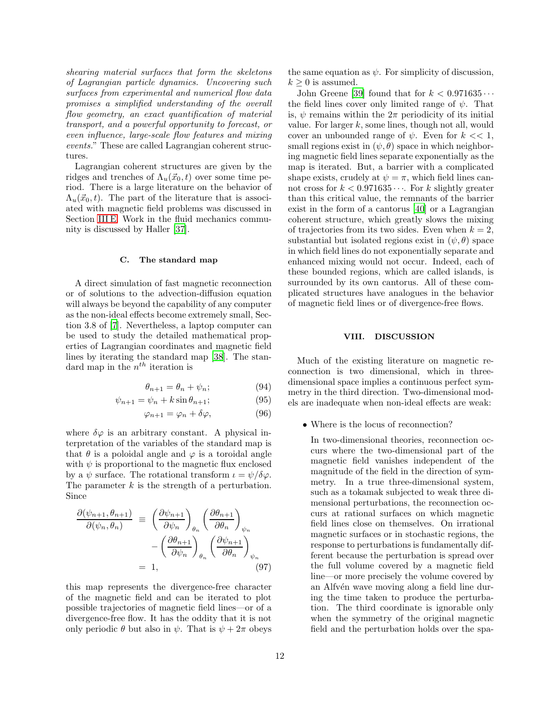shearing material surfaces that form the skeletons of Lagrangian particle dynamics. Uncovering such surfaces from experimental and numerical flow data promises a simplified understanding of the overall flow geometry, an exact quantification of material transport, and a powerful opportunity to forecast, or even influence, large-scale flow features and mixing events." These are called Lagrangian coherent structures.

Lagrangian coherent structures are given by the ridges and trenches of  $\Lambda_u(\vec{x}_0, t)$  over some time period. There is a large literature on the behavior of  $\Lambda_u(\vec{x}_0, t)$ . The part of the literature that is associated with magnetic field problems was discussed in Section [III E.](#page-5-6) Work in the fluid mechanics community is discussed by Haller [\[37](#page-15-27)].

#### C. The standard map

A direct simulation of fast magnetic reconnection or of solutions to the advection-diffusion equation will always be beyond the capability of any computer as the non-ideal effects become extremely small, Section 3.8 of [\[7\]](#page-15-14). Nevertheless, a laptop computer can be used to study the detailed mathematical properties of Lagrangian coordinates and magnetic field lines by iterating the standard map [\[38](#page-15-28)]. The standard map in the  $n^{th}$  iteration is

$$
\theta_{n+1} = \theta_n + \psi_n; \tag{94}
$$

$$
\psi_{n+1} = \psi_n + k \sin \theta_{n+1};\tag{95}
$$

$$
\varphi_{n+1} = \varphi_n + \delta \varphi, \tag{96}
$$

where  $\delta\varphi$  is an arbitrary constant. A physical interpretation of the variables of the standard map is that  $\theta$  is a poloidal angle and  $\varphi$  is a toroidal angle with  $\psi$  is proportional to the magnetic flux enclosed by a  $\psi$  surface. The rotational transform  $\iota = \psi/\delta\varphi$ . The parameter  $k$  is the strength of a perturbation. Since

$$
\frac{\partial(\psi_{n+1}, \theta_{n+1})}{\partial(\psi_n, \theta_n)} \equiv \left(\frac{\partial \psi_{n+1}}{\partial \psi_n}\right)_{\theta_n} \left(\frac{\partial \theta_{n+1}}{\partial \theta_n}\right)_{\psi_n} - \left(\frac{\partial \theta_{n+1}}{\partial \psi_n}\right)_{\theta_n} \left(\frac{\partial \psi_{n+1}}{\partial \theta_n}\right)_{\psi_n} = 1, \tag{97}
$$

this map represents the divergence-free character of the magnetic field and can be iterated to plot possible trajectories of magnetic field lines—or of a divergence-free flow. It has the oddity that it is not only periodic  $\theta$  but also in  $\psi$ . That is  $\psi + 2\pi$  obeys

the same equation as  $\psi$ . For simplicity of discussion,  $k \geq 0$  is assumed.

John Greene [\[39\]](#page-15-29) found that for  $k < 0.971635 \cdots$ the field lines cover only limited range of  $\psi$ . That is,  $\psi$  remains within the  $2\pi$  periodicity of its initial value. For larger  $k$ , some lines, though not all, would cover an unbounded range of  $\psi$ . Even for  $k \ll 1$ , small regions exist in  $(\psi, \theta)$  space in which neighboring magnetic field lines separate exponentially as the map is iterated. But, a barrier with a complicated shape exists, crudely at  $\psi = \pi$ , which field lines cannot cross for  $k < 0.971635 \cdots$ . For k slightly greater than this critical value, the remnants of the barrier exist in the form of a cantorus [\[40](#page-15-30)] or a Lagrangian coherent structure, which greatly slows the mixing of trajectories from its two sides. Even when  $k = 2$ , substantial but isolated regions exist in  $(\psi, \theta)$  space in which field lines do not exponentially separate and enhanced mixing would not occur. Indeed, each of these bounded regions, which are called islands, is surrounded by its own cantorus. All of these complicated structures have analogues in the behavior of magnetic field lines or of divergence-free flows.

## <span id="page-11-0"></span>VIII. DISCUSSION

Much of the existing literature on magnetic reconnection is two dimensional, which in threedimensional space implies a continuous perfect symmetry in the third direction. Two-dimensional models are inadequate when non-ideal effects are weak:

• Where is the locus of reconnection?

In two-dimensional theories, reconnection occurs where the two-dimensional part of the magnetic field vanishes independent of the magnitude of the field in the direction of symmetry. In a true three-dimensional system, such as a tokamak subjected to weak three dimensional perturbations, the reconnection occurs at rational surfaces on which magnetic field lines close on themselves. On irrational magnetic surfaces or in stochastic regions, the response to perturbations is fundamentally different because the perturbation is spread over the full volume covered by a magnetic field line—or more precisely the volume covered by an Alfvén wave moving along a field line during the time taken to produce the perturbation. The third coordinate is ignorable only when the symmetry of the original magnetic field and the perturbation holds over the spa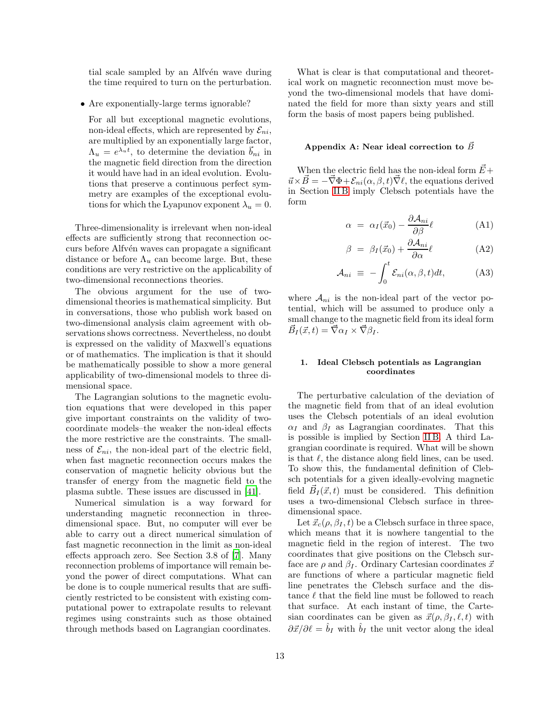tial scale sampled by an Alfvén wave during the time required to turn on the perturbation.

• Are exponentially-large terms ignorable?

For all but exceptional magnetic evolutions, non-ideal effects, which are represented by  $\mathcal{E}_{ni}$ , are multiplied by an exponentially large factor,  $\Lambda_u = e^{\lambda_u t}$ , to determine the deviation  $\vec{b}_{ni}$  in the magnetic field direction from the direction it would have had in an ideal evolution. Evolutions that preserve a continuous perfect symmetry are examples of the exceptional evolutions for which the Lyapunov exponent  $\lambda_u = 0$ .

Three-dimensionality is irrelevant when non-ideal effects are sufficiently strong that reconnection occurs before Alfv´en waves can propagate a significant distance or before  $\Lambda_u$  can become large. But, these conditions are very restrictive on the applicability of two-dimensional reconnections theories.

The obvious argument for the use of twodimensional theories is mathematical simplicity. But in conversations, those who publish work based on two-dimensional analysis claim agreement with observations shows correctness. Nevertheless, no doubt is expressed on the validity of Maxwell's equations or of mathematics. The implication is that it should be mathematically possible to show a more general applicability of two-dimensional models to three dimensional space.

The Lagrangian solutions to the magnetic evolution equations that were developed in this paper give important constraints on the validity of twocoordinate models–the weaker the non-ideal effects the more restrictive are the constraints. The smallness of  $\mathcal{E}_{ni}$ , the non-ideal part of the electric field, when fast magnetic reconnection occurs makes the conservation of magnetic helicity obvious but the transfer of energy from the magnetic field to the plasma subtle. These issues are discussed in [\[41](#page-15-31)].

Numerical simulation is a way forward for understanding magnetic reconnection in threedimensional space. But, no computer will ever be able to carry out a direct numerical simulation of fast magnetic reconnection in the limit as non-ideal effects approach zero. See Section 3.8 of [\[7](#page-15-14)]. Many reconnection problems of importance will remain beyond the power of direct computations. What can be done is to couple numerical results that are sufficiently restricted to be consistent with existing computational power to extrapolate results to relevant regimes using constraints such as those obtained through methods based on Lagrangian coordinates.

What is clear is that computational and theoretical work on magnetic reconnection must move beyond the two-dimensional models that have dominated the field for more than sixty years and still form the basis of most papers being published.

# <span id="page-12-0"></span>Appendix A: Near ideal correction to  $\vec{B}$

When the electric field has the non-ideal form  $\vec{E}$  +  $\vec{u} \times \vec{B} = -\vec{\nabla}\Phi + \mathcal{E}_{ni}(\alpha, \beta, t)\vec{\nabla}\ell$ , the equations derived in Section [II B](#page-4-2) imply Clebsch potentials have the form

<span id="page-12-1"></span>
$$
\alpha = \alpha_I(\vec{x}_0) - \frac{\partial \mathcal{A}_{ni}}{\partial \beta} \ell \tag{A1}
$$

$$
\beta = \beta_I(\vec{x}_0) + \frac{\partial \mathcal{A}_{ni}}{\partial \alpha} \ell \tag{A2}
$$

$$
\mathcal{A}_{ni} \equiv -\int_0^t \mathcal{E}_{ni}(\alpha, \beta, t) dt, \tag{A3}
$$

where  $\mathcal{A}_{ni}$  is the non-ideal part of the vector potential, which will be assumed to produce only a small change to the magnetic field from its ideal form  $\vec{B}_I(\vec{x},t) = \vec{\nabla}\alpha_I \times \vec{\nabla}\beta_I.$ 

# 1. Ideal Clebsch potentials as Lagrangian coordinates

The perturbative calculation of the deviation of the magnetic field from that of an ideal evolution uses the Clebsch potentials of an ideal evolution  $\alpha_I$  and  $\beta_I$  as Lagrangian coordinates. That this is possible is implied by Section [II B.](#page-4-2) A third Lagrangian coordinate is required. What will be shown is that  $\ell$ , the distance along field lines, can be used. To show this, the fundamental definition of Clebsch potentials for a given ideally-evolving magnetic field  $\vec{B}_I(\vec{x}, t)$  must be considered. This definition uses a two-dimensional Clebsch surface in threedimensional space.

Let  $\vec{x}_c(\rho, \beta_I, t)$  be a Clebsch surface in three space, which means that it is nowhere tangential to the magnetic field in the region of interest. The two coordinates that give positions on the Clebsch surface are  $\rho$  and  $\beta_I$ . Ordinary Cartesian coordinates  $\vec{x}$ are functions of where a particular magnetic field line penetrates the Clebsch surface and the distance  $\ell$  that the field line must be followed to reach that surface. At each instant of time, the Cartesian coordinates can be given as  $\vec{x}(\rho, \beta_I, \ell, t)$  with  $\frac{\partial \vec{x}}{\partial \ell} = \hat{b}_I$  with  $\hat{b}_I$  the unit vector along the ideal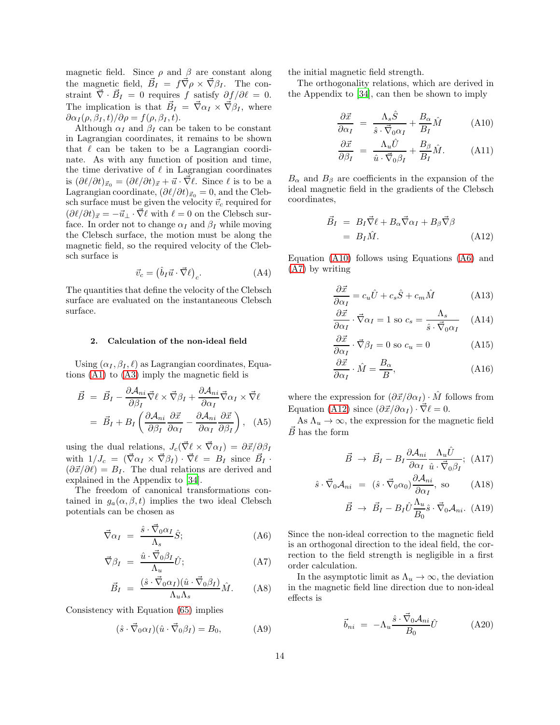magnetic field. Since  $\rho$  and  $\beta$  are constant along the magnetic field,  $\vec{B}_I = f \vec{\nabla} \rho \times \vec{\nabla} \beta_I$ . The constraint  $\vec{\nabla} \cdot \vec{B}_I = 0$  requires f satisfy  $\partial f / \partial \ell = 0$ . The implication is that  $\vec{B}_I = \vec{\nabla}\alpha_I \times \vec{\nabla}\beta_I$ , where  $\partial \alpha_I(\rho, \beta_I, t)/\partial \rho = f(\rho, \beta_I, t).$ 

Although  $\alpha_I$  and  $\beta_I$  can be taken to be constant in Lagrangian coordinates, it remains to be shown that  $\ell$  can be taken to be a Lagrangian coordinate. As with any function of position and time, the time derivative of  $\ell$  in Lagrangian coordinates is  $(\partial \ell / \partial t)_{\vec{x}_0} = (\partial \ell / \partial t)_{\vec{x}} + \vec{u} \cdot \vec{\nabla} \ell$ . Since  $\ell$  is to be a Lagrangian coordinate,  $(\partial \ell / \partial t)_{\vec{x}_0} = 0$ , and the Clebsch surface must be given the velocity  $\vec{v}_{c}$  required for  $(\partial \ell / \partial t)_{\vec{x}} = -\vec{u}_\perp \cdot \vec{\nabla} \ell$  with  $\ell = 0$  on the Clebsch surface. In order not to change  $\alpha_I$  and  $\beta_I$  while moving the Clebsch surface, the motion must be along the magnetic field, so the required velocity of the Clebsch surface is

$$
\vec{v}_c = \left(\hat{b}_I \vec{u} \cdot \vec{\nabla} \ell\right)_c.
$$
 (A4)

The quantities that define the velocity of the Clebsch surface are evaluated on the instantaneous Clebsch surface.

# 2. Calculation of the non-ideal field

Using  $(\alpha_I, \beta_I, \ell)$  as Lagrangian coordinates, Equations [\(A1\)](#page-12-1) to [\(A3\)](#page-12-1) imply the magnetic field is

$$
\vec{B} = \vec{B}_I - \frac{\partial \mathcal{A}_{ni}}{\partial \beta_I} \vec{\nabla} \ell \times \vec{\nabla} \beta_I + \frac{\partial \mathcal{A}_{ni}}{\partial \alpha_I} \vec{\nabla} \alpha_I \times \vec{\nabla} \ell \n= \vec{B}_I + B_I \left( \frac{\partial \mathcal{A}_{ni}}{\partial \beta_I} \frac{\partial \vec{x}}{\partial \alpha_I} - \frac{\partial \mathcal{A}_{ni}}{\partial \alpha_I} \frac{\partial \vec{x}}{\partial \beta_I} \right), \quad (A5)
$$

using the dual relations,  $J_c(\vec{\nabla}\ell \times \vec{\nabla}\alpha_I) = \partial \vec{x}/\partial \beta_I$ with  $1/J_c = (\vec{\nabla}\alpha_I \times \vec{\nabla}\beta_I) \cdot \vec{\nabla}\ell = B_I$  since  $\vec{B}_I$ .  $(\partial \vec{x}/\partial \ell) = B_I$ . The dual relations are derived and explained in the Appendix to [\[34\]](#page-15-24).

The freedom of canonical transformations contained in  $g_a(\alpha, \beta, t)$  implies the two ideal Clebsch potentials can be chosen as

<span id="page-13-2"></span>
$$
\vec{\nabla}\alpha_I = \frac{\hat{s} \cdot \vec{\nabla}_0 \alpha_I}{\Lambda_s} \hat{S};\tag{A6}
$$

$$
\vec{\nabla}\beta_I = \frac{\hat{u} \cdot \vec{\nabla}_0 \beta_I}{\Lambda_u} \hat{U};
$$
 (A7)

$$
\vec{B}_I = \frac{(\hat{s} \cdot \vec{\nabla}_0 \alpha_I)(\hat{u} \cdot \vec{\nabla}_0 \beta_I)}{\Lambda_u \Lambda_s} \hat{M}.
$$
 (A8)

Consistency with Equation [\(65\)](#page-7-3) implies

$$
(\hat{s} \cdot \vec{\nabla}_0 \alpha_I)(\hat{u} \cdot \vec{\nabla}_0 \beta_I) = B_0, \tag{A9}
$$

the initial magnetic field strength.

The orthogonality relations, which are derived in the Appendix to [\[34\]](#page-15-24), can then be shown to imply

<span id="page-13-1"></span>
$$
\frac{\partial \vec{x}}{\partial \alpha_I} = \frac{\Lambda_s \hat{S}}{\hat{s} \cdot \vec{\nabla}_0 \alpha_I} + \frac{B_\alpha}{B_I} \hat{M}
$$
 (A10)

$$
\frac{\partial \vec{x}}{\partial \beta_I} = \frac{\Lambda_u \hat{U}}{\hat{u} \cdot \vec{\nabla}_0 \beta_I} + \frac{B_\beta}{B_I} \hat{M}.
$$
 (A11)

 $B_{\alpha}$  and  $B_{\beta}$  are coefficients in the expansion of the ideal magnetic field in the gradients of the Clebsch coordinates,

<span id="page-13-3"></span>
$$
\vec{B}_I = B_I \vec{\nabla} \ell + B_\alpha \vec{\nabla} \alpha_I + B_\beta \vec{\nabla} \beta
$$
  
=  $B_I \hat{M}$ . (A12)

Equation [\(A10\)](#page-13-1) follows using Equations [\(A6\)](#page-13-2) and [\(A7\)](#page-13-2) by writing

$$
\frac{\partial \vec{x}}{\partial \alpha_I} = c_u \hat{U} + c_s \hat{S} + c_m \hat{M}
$$
 (A13)

$$
\frac{\partial \vec{x}}{\partial \alpha_I} \cdot \vec{\nabla} \alpha_I = 1 \text{ so } c_s = \frac{\Lambda_s}{\hat{s} \cdot \vec{\nabla}_0 \alpha_I} \quad \text{(A14)}
$$

$$
\frac{\partial \vec{x}}{\partial \alpha_I} \cdot \vec{\nabla} \beta_I = 0 \text{ so } c_u = 0 \tag{A15}
$$

$$
\frac{\partial \vec{x}}{\partial \alpha_I} \cdot \hat{M} = \frac{B_\alpha}{B},\tag{A16}
$$

where the expression for  $(\partial \vec{x}/\partial \alpha_I) \cdot \hat{M}$  follows from Equation [\(A12\)](#page-13-3) since  $(\partial \vec{x}/\partial \alpha_I) \cdot \vec{\nabla} \ell = 0$ .

As  $\Lambda_u \to \infty$ , the expression for the magnetic field  $\vec{B}$  has the form

$$
\vec{B} \rightarrow \vec{B}_I - B_I \frac{\partial \mathcal{A}_{ni}}{\partial \alpha_I} \frac{\Lambda_u \hat{U}}{\hat{u} \cdot \vec{\nabla}_0 \beta_I}; \text{ (A17)}
$$
\n
$$
\vec{B} = 4 \qquad (\hat{a} \ \vec{\nabla}_0) \frac{\partial \mathcal{A}_{ni}}{\partial \alpha_I} \quad \text{as} \quad \text{(A18)}
$$

$$
\hat{s} \cdot \vec{\nabla}_0 \mathcal{A}_{ni} = (\hat{s} \cdot \vec{\nabla}_0 \alpha_0) \frac{\partial \mathcal{A}_{ni}}{\partial \alpha_I}, \text{ so } (A18)
$$

$$
\vec{B} \rightarrow \vec{B}_I - B_I \hat{U} \frac{\Lambda_u}{B_0} \hat{s} \cdot \vec{\nabla}_0 \mathcal{A}_{ni}.
$$
 (A19)

Since the non-ideal correction to the magnetic field is an orthogonal direction to the ideal field, the correction to the field strength is negligible in a first order calculation.

In the asymptotic limit as  $\Lambda_u \to \infty$ , the deviation in the magnetic field line direction due to non-ideal effects is

<span id="page-13-0"></span>
$$
\vec{b}_{ni} = -\Lambda_u \frac{\hat{s} \cdot \vec{\nabla}_0 \mathcal{A}_{ni}}{B_0} \hat{U} \tag{A20}
$$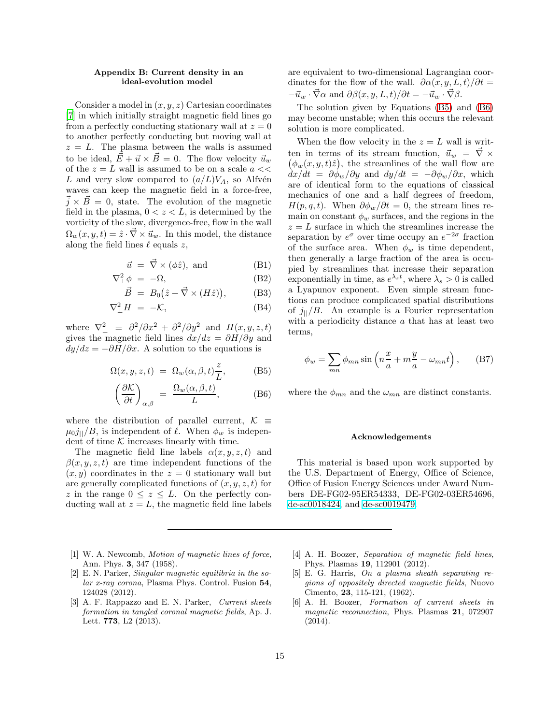# <span id="page-14-5"></span>Appendix B: Current density in an ideal-evolution model

Consider a model in  $(x, y, z)$  Cartesian coordinates [\[7\]](#page-15-14) in which initially straight magnetic field lines go from a perfectly conducting stationary wall at  $z = 0$ to another perfectly conducting but moving wall at  $z = L$ . The plasma between the walls is assumed to be ideal,  $\vec{E} + \vec{u} \times \vec{B} = 0$ . The flow velocity  $\vec{u}_w$ of the  $z = L$  wall is assumed to be on a scale  $a \ll$ L and very slow compared to  $(a/L)V_A$ , so Alfvén waves can keep the magnetic field in a force-free,  $\vec{j} \times \vec{B} = 0$ , state. The evolution of the magnetic field in the plasma,  $0 < z < L$ , is determined by the vorticity of the slow, divergence-free, flow in the wall  $\Omega_w(x, y, t) = \hat{z} \cdot \vec{\nabla} \times \vec{u}_w$ . In this model, the distance along the field lines  $\ell$  equals z,

$$
\vec{u} = \vec{\nabla} \times (\phi \hat{z}), \text{ and } (\text{B1})
$$

$$
\nabla^2_{\perp} \phi = -\Omega, \tag{B2}
$$

$$
\vec{B} = B_0(\hat{z} + \vec{\nabla} \times (H\hat{z})), \quad (B3)
$$

$$
\nabla_{\perp}^2 H = -\mathcal{K},\tag{B4}
$$

where  $\nabla_{\perp}^2 \equiv \frac{\partial^2}{\partial x^2} + \frac{\partial^2}{\partial y^2}$  and  $H(x, y, z, t)$ gives the magnetic field lines  $dx/dz = \partial H/\partial y$  and  $dy/dz = -\partial H/\partial x$ . A solution to the equations is

<span id="page-14-6"></span>
$$
\Omega(x, y, z, t) = \Omega_w(\alpha, \beta, t) \frac{z}{L}, \quad (B5)
$$

$$
\left(\frac{\partial \mathcal{K}}{\partial t}\right)_{\alpha,\beta} = \frac{\Omega_w(\alpha,\beta,t)}{L},\tag{B6}
$$

where the distribution of parallel current,  $K \equiv$  $\mu_0 j_{\parallel}/B$ , is independent of  $\ell$ . When  $\phi_w$  is independent of time  $K$  increases linearly with time.

The magnetic field line labels  $\alpha(x, y, z, t)$  and  $\beta(x, y, z, t)$  are time independent functions of the  $(x, y)$  coordinates in the  $z = 0$  stationary wall but are generally complicated functions of  $(x, y, z, t)$  for z in the range  $0 \leq z \leq L$ . On the perfectly conducting wall at  $z = L$ , the magnetic field line labels

- <span id="page-14-0"></span>[1] W. A. Newcomb, *Motion of magnetic lines of force*, Ann. Phys. 3, 347 (1958).
- <span id="page-14-1"></span>[2] E. N. Parker, Singular magnetic equilibria in the solar x-ray corona, Plasma Phys. Control. Fusion 54, 124028 (2012).
- <span id="page-14-2"></span>[3] A. F. Rappazzo and E. N. Parker, *Current sheets* formation in tangled coronal magnetic fields, Ap. J. Lett. 773, L2 (2013).

are equivalent to two-dimensional Lagrangian coordinates for the flow of the wall.  $\partial \alpha(x, y, L, t)/\partial t =$  $-\vec{u}_w \cdot \vec{\nabla}\alpha$  and  $\partial \beta(x, y, L, t)/\partial t = -\vec{u}_w \cdot \vec{\nabla}\beta$ .

The solution given by Equations [\(B5\)](#page-14-6) and [\(B6\)](#page-14-6) may become unstable; when this occurs the relevant solution is more complicated.

When the flow velocity in the  $z = L$  wall is written in terms of its stream function,  $\vec{u}_w = \vec{\nabla} \times$  $(\phi_w(x, y, t)\hat{z})$ , the streamlines of the wall flow are  $dx/dt = \partial \phi_w/\partial y$  and  $dy/dt = -\partial \phi_w/\partial x$ , which are of identical form to the equations of classical mechanics of one and a half degrees of freedom,  $H(p,q,t)$ . When  $\partial \phi_w / \partial t = 0$ , the stream lines remain on constant  $\phi_w$  surfaces, and the regions in the  $z = L$  surface in which the streamlines increase the separation by  $e^{\sigma}$  over time occupy an  $e^{-2\sigma}$  fraction of the surface area. When  $\phi_w$  is time dependent, then generally a large fraction of the area is occupied by streamlines that increase their separation exponentially in time, as  $e^{\lambda_s t}$ , where  $\lambda_s > 0$  is called a Lyapunov exponent. Even simple stream functions can produce complicated spatial distributions of  $j_{\parallel}/B$ . An example is a Fourier representation with a periodicity distance a that has at least two terms,

$$
\phi_w = \sum_{mn} \phi_{mn} \sin \left( n \frac{x}{a} + m \frac{y}{a} - \omega_{mn} t \right), \quad (B7)
$$

where the  $\phi_{mn}$  and the  $\omega_{mn}$  are distinct constants.

#### Acknowledgements

This material is based upon work supported by the U.S. Department of Energy, Office of Science, Office of Fusion Energy Sciences under Award Numbers DE-FG02-95ER54333, DE-FG02-03ER54696, [de-sc0018424,](http://arxiv.org/abs/de-sc/0018424) and [de-sc0019479.](http://arxiv.org/abs/de-sc/0019479)

- <span id="page-14-3"></span>[4] A. H. Boozer, Separation of magnetic field lines, Phys. Plasmas 19, 112901 (2012).
- <span id="page-14-4"></span>[5] E. G. Harris, On a plasma sheath separating regions of oppositely directed magnetic fields, Nuovo Cimento, 23, 115-121, (1962).
- [6] A. H. Boozer, Formation of current sheets in magnetic reconnection, Phys. Plasmas 21, 072907 (2014).